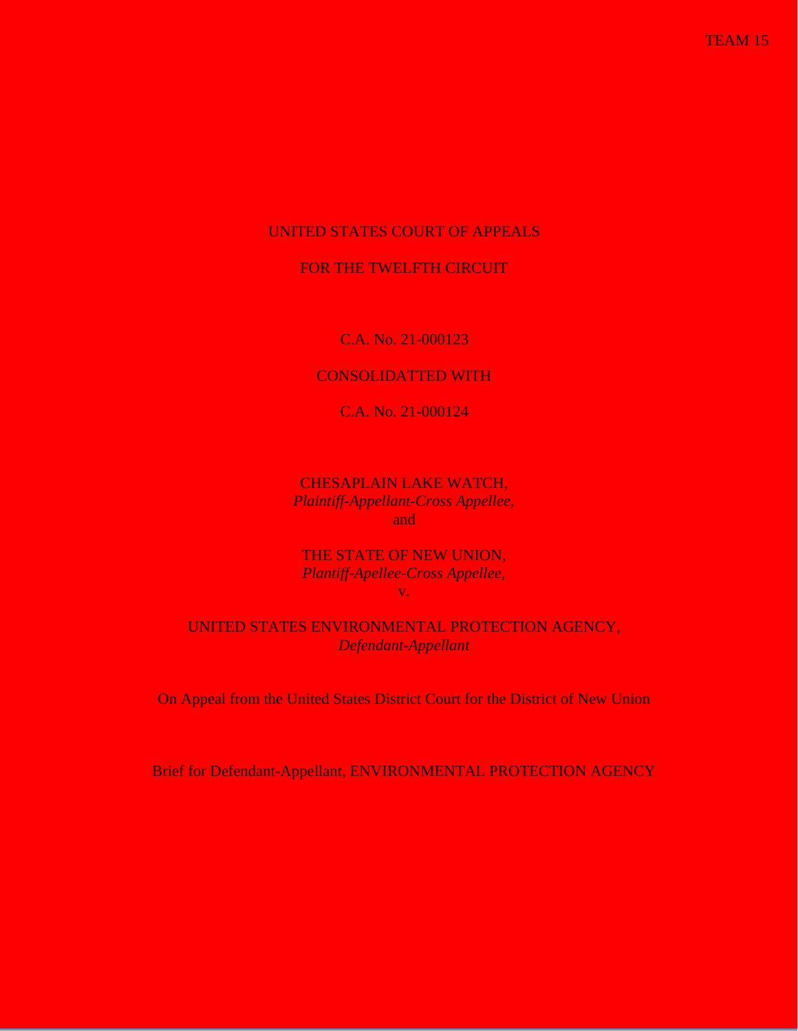# UNITED STATES COURT OF APPEALS

## FOR THE TWELFTH CIRCUIT

C.A. No. 21-000123

# CONSOLIDATTED WITH

C.A. No. 21-000124

CHESAPLAIN LAKE WATCH, *Plaintiff-Appellant-Cross Appellee,* and

THE STATE OF NEW UNION, *Plantiff-Apellee-Cross Appellee,* v.

UNITED STATES ENVIRONMENTAL PROTECTION AGENCY, *Defendant-Appellant*

On Appeal from the United States District Court for the District of New Union

Brief for Defendant-Appellant, ENVIRONMENTAL PROTECTION AGENCY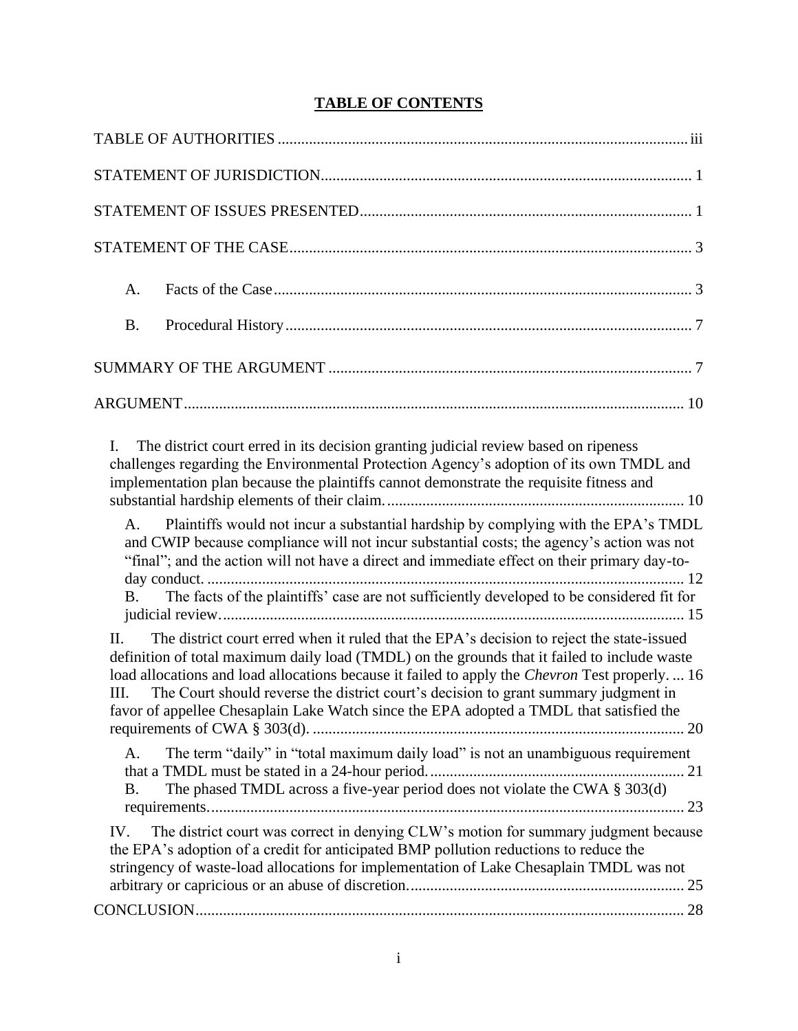# **TABLE OF CONTENTS**

| A.                                                                                                                                                                                                                                                                                                                                                                                                                                                                                           |
|----------------------------------------------------------------------------------------------------------------------------------------------------------------------------------------------------------------------------------------------------------------------------------------------------------------------------------------------------------------------------------------------------------------------------------------------------------------------------------------------|
| <b>B.</b>                                                                                                                                                                                                                                                                                                                                                                                                                                                                                    |
|                                                                                                                                                                                                                                                                                                                                                                                                                                                                                              |
|                                                                                                                                                                                                                                                                                                                                                                                                                                                                                              |
| $\mathbf{I}$ .<br>The district court erred in its decision granting judicial review based on ripeness<br>challenges regarding the Environmental Protection Agency's adoption of its own TMDL and<br>implementation plan because the plaintiffs cannot demonstrate the requisite fitness and                                                                                                                                                                                                  |
| Plaintiffs would not incur a substantial hardship by complying with the EPA's TMDL<br>A.<br>and CWIP because compliance will not incur substantial costs; the agency's action was not<br>"final"; and the action will not have a direct and immediate effect on their primary day-to-<br>The facts of the plaintiffs' case are not sufficiently developed to be considered fit for<br><b>B</b> .                                                                                             |
| The district court erred when it ruled that the EPA's decision to reject the state-issued<br>H.<br>definition of total maximum daily load (TMDL) on the grounds that it failed to include waste<br>load allocations and load allocations because it failed to apply the Chevron Test properly.  16<br>The Court should reverse the district court's decision to grant summary judgment in<br>III.<br>favor of appellee Chesaplain Lake Watch since the EPA adopted a TMDL that satisfied the |
| The term "daily" in "total maximum daily load" is not an unambiguous requirement<br>A.<br>The phased TMDL across a five-year period does not violate the CWA $\S 303(d)$<br><b>B.</b>                                                                                                                                                                                                                                                                                                        |
| The district court was correct in denying CLW's motion for summary judgment because<br>IV.<br>the EPA's adoption of a credit for anticipated BMP pollution reductions to reduce the<br>stringency of waste-load allocations for implementation of Lake Chesaplain TMDL was not                                                                                                                                                                                                               |
|                                                                                                                                                                                                                                                                                                                                                                                                                                                                                              |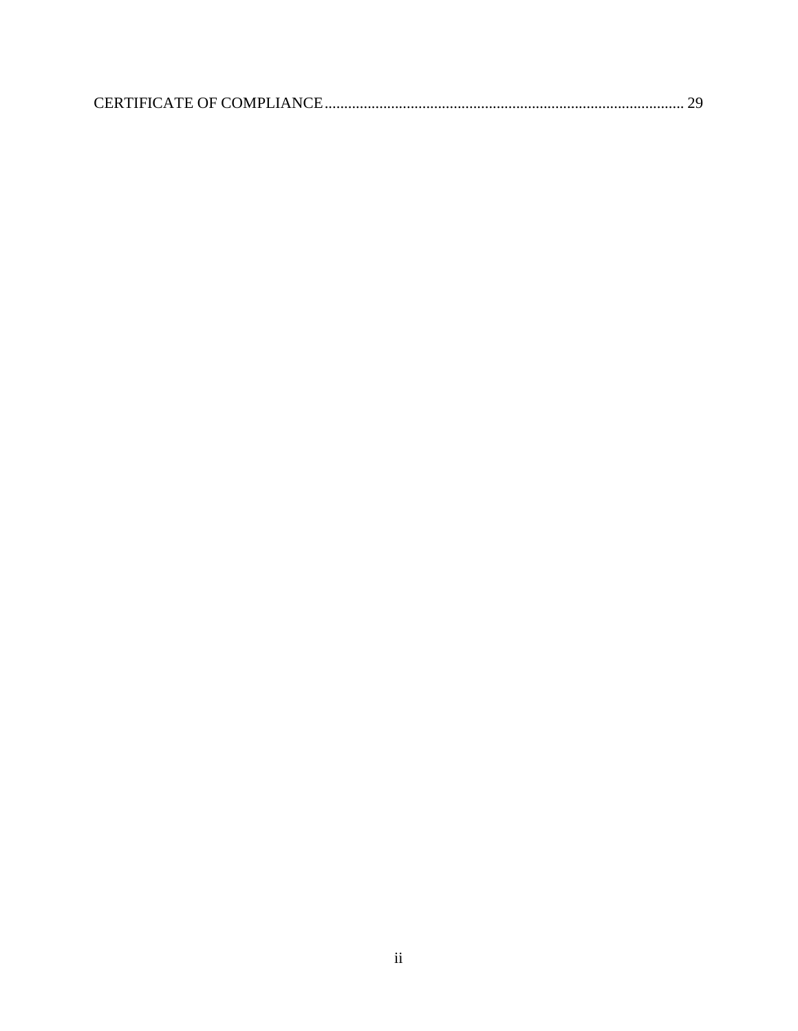|--|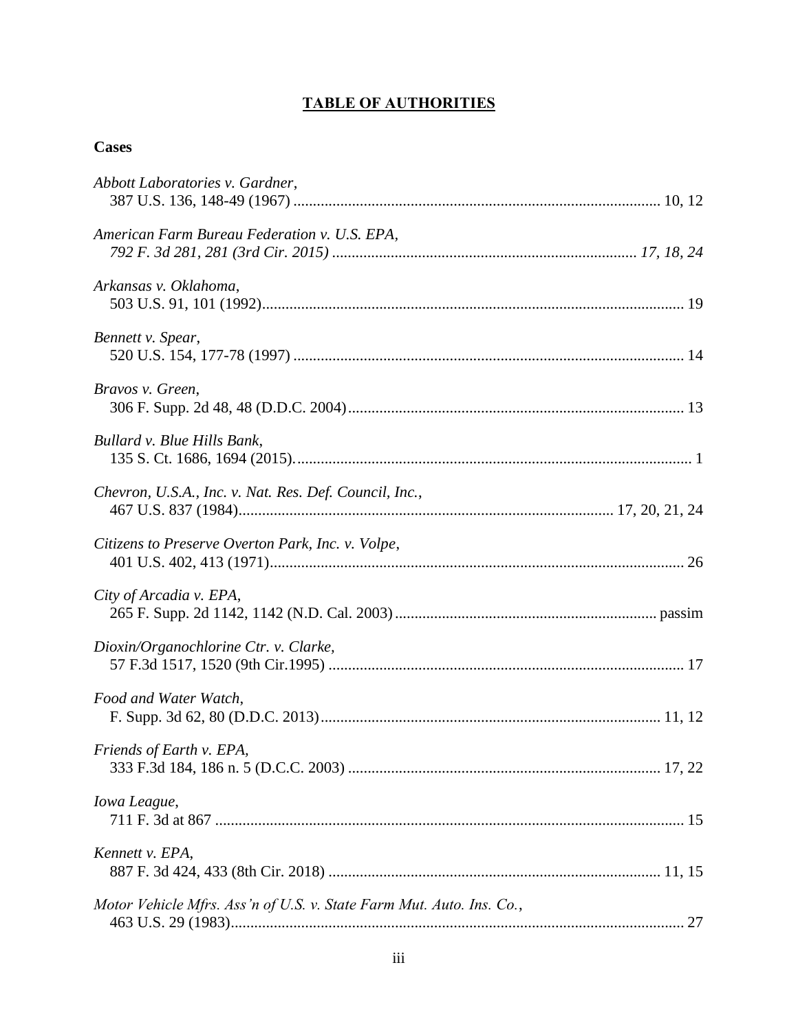# **TABLE OF AUTHORITIES**

# **Cases**

| Abbott Laboratories v. Gardner,                                      |
|----------------------------------------------------------------------|
| American Farm Bureau Federation v. U.S. EPA,                         |
| Arkansas v. Oklahoma,                                                |
| Bennett v. Spear,                                                    |
| Bravos v. Green,                                                     |
| Bullard v. Blue Hills Bank,                                          |
| Chevron, U.S.A., Inc. v. Nat. Res. Def. Council, Inc.,               |
| Citizens to Preserve Overton Park, Inc. v. Volpe,                    |
| City of Arcadia v. EPA,                                              |
| Dioxin/Organochlorine Ctr. v. Clarke,                                |
| Food and Water Watch,                                                |
| Friends of Earth v. EPA,                                             |
| Iowa League,                                                         |
| Kennett v. EPA,                                                      |
| Motor Vehicle Mfrs. Ass'n of U.S. v. State Farm Mut. Auto. Ins. Co., |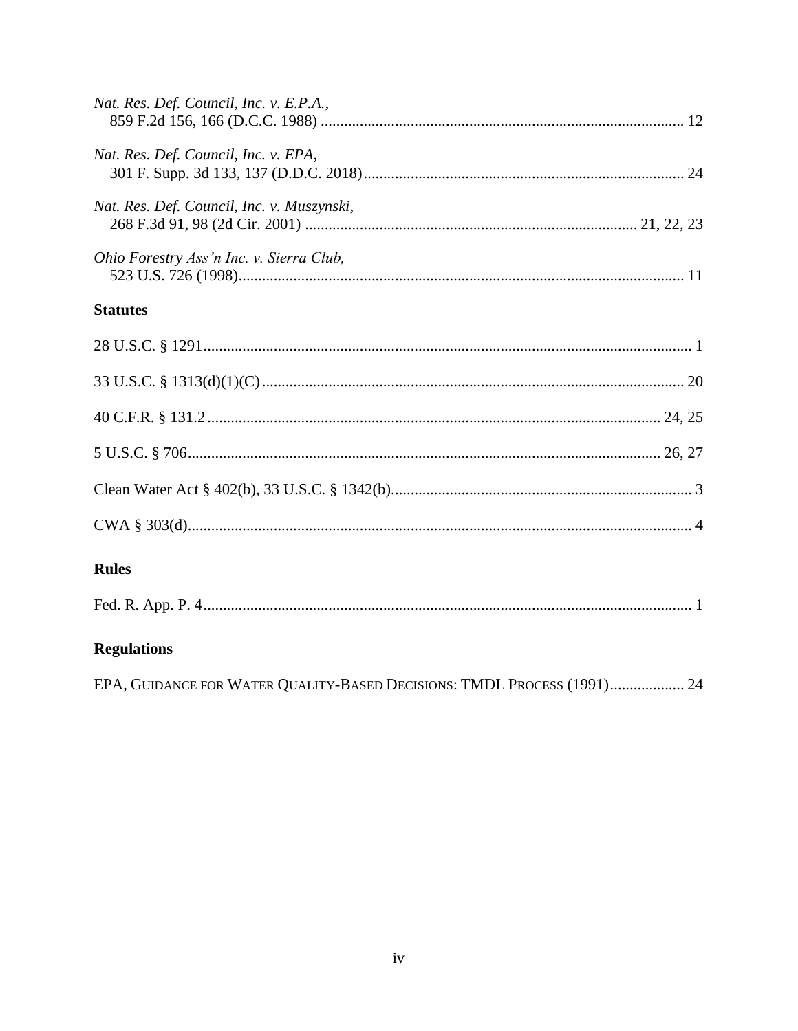| Nat. Res. Def. Council, Inc. v. E.P.A.,                                 |
|-------------------------------------------------------------------------|
| Nat. Res. Def. Council, Inc. v. EPA,                                    |
| Nat. Res. Def. Council, Inc. v. Muszynski,                              |
| Ohio Forestry Ass'n Inc. v. Sierra Club,                                |
| <b>Statutes</b>                                                         |
|                                                                         |
|                                                                         |
|                                                                         |
|                                                                         |
|                                                                         |
|                                                                         |
| <b>Rules</b>                                                            |
|                                                                         |
| <b>Regulations</b>                                                      |
| EPA, GUIDANCE FOR WATER QUALITY-BASED DECISIONS: TMDL PROCESS (1991) 24 |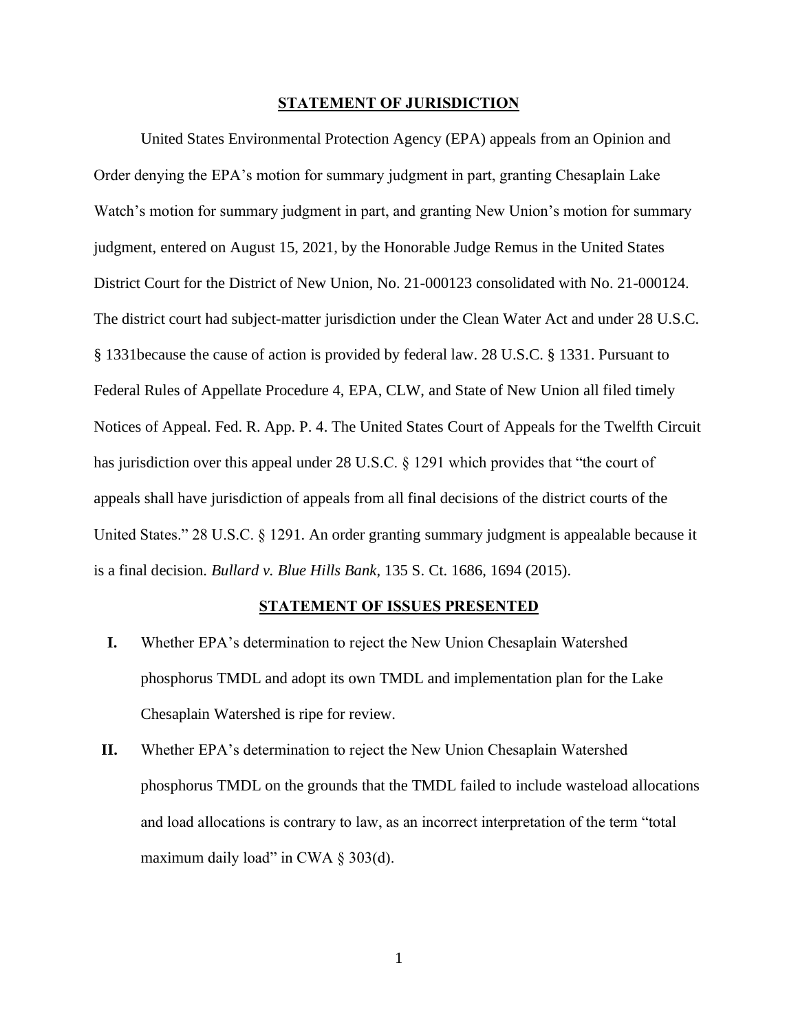#### **STATEMENT OF JURISDICTION**

United States Environmental Protection Agency (EPA) appeals from an Opinion and Order denying the EPA's motion for summary judgment in part, granting Chesaplain Lake Watch's motion for summary judgment in part, and granting New Union's motion for summary judgment, entered on August 15, 2021, by the Honorable Judge Remus in the United States District Court for the District of New Union, No. 21-000123 consolidated with No. 21-000124. The district court had subject-matter jurisdiction under the Clean Water Act and under 28 U.S.C. § 1331because the cause of action is provided by federal law. 28 U.S.C. § 1331. Pursuant to Federal Rules of Appellate Procedure 4, EPA, CLW, and State of New Union all filed timely Notices of Appeal. Fed. R. App. P. 4. The United States Court of Appeals for the Twelfth Circuit has jurisdiction over this appeal under 28 U.S.C. § 1291 which provides that "the court of appeals shall have jurisdiction of appeals from all final decisions of the district courts of the United States." 28 U.S.C. § 1291. An order granting summary judgment is appealable because it is a final decision. *Bullard v. Blue Hills Bank*, 135 S. Ct. 1686, 1694 (2015).

#### **STATEMENT OF ISSUES PRESENTED**

- **I.** Whether EPA's determination to reject the New Union Chesaplain Watershed phosphorus TMDL and adopt its own TMDL and implementation plan for the Lake Chesaplain Watershed is ripe for review.
- **II.** Whether EPA's determination to reject the New Union Chesaplain Watershed phosphorus TMDL on the grounds that the TMDL failed to include wasteload allocations and load allocations is contrary to law, as an incorrect interpretation of the term "total maximum daily load" in CWA  $\S 303(d)$ .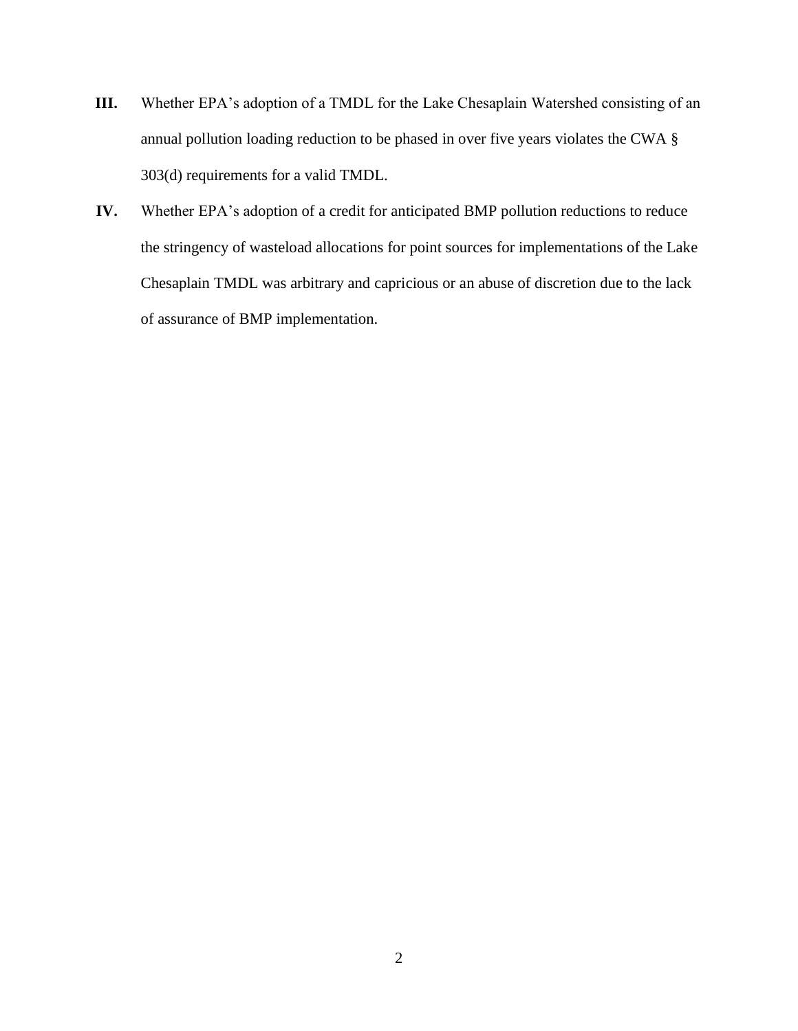- **III.** Whether EPA's adoption of a TMDL for the Lake Chesaplain Watershed consisting of an annual pollution loading reduction to be phased in over five years violates the CWA § 303(d) requirements for a valid TMDL.
- **IV.** Whether EPA's adoption of a credit for anticipated BMP pollution reductions to reduce the stringency of wasteload allocations for point sources for implementations of the Lake Chesaplain TMDL was arbitrary and capricious or an abuse of discretion due to the lack of assurance of BMP implementation.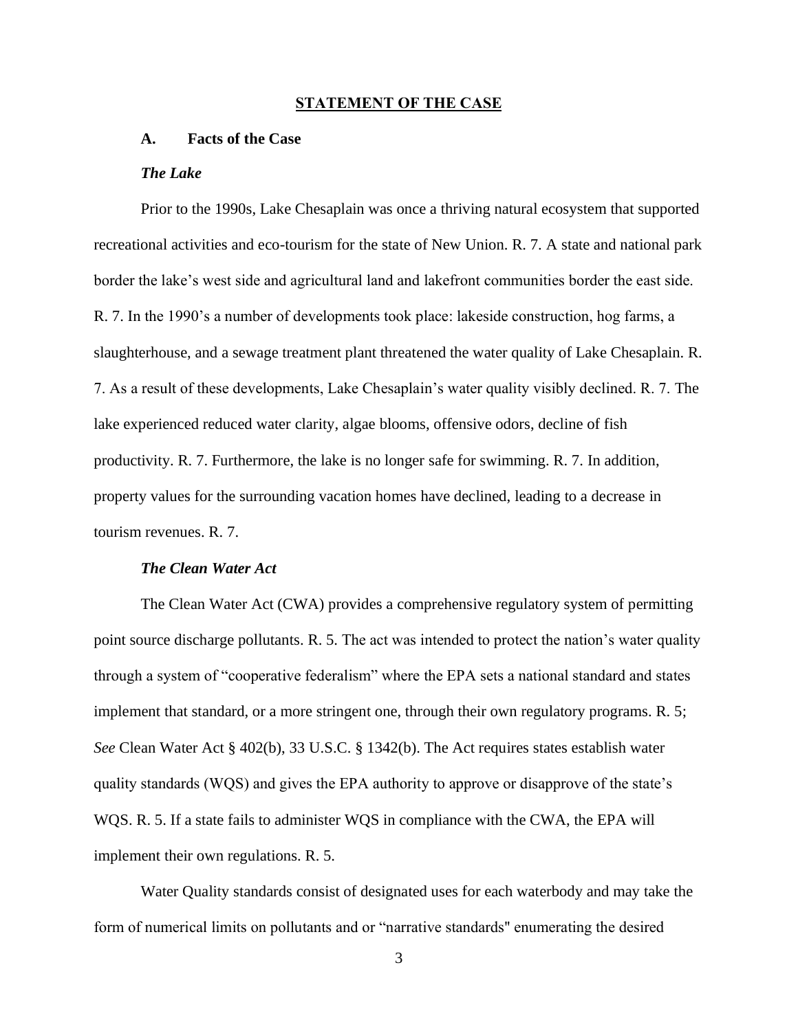#### **STATEMENT OF THE CASE**

## **A. Facts of the Case**

### *The Lake*

Prior to the 1990s, Lake Chesaplain was once a thriving natural ecosystem that supported recreational activities and eco-tourism for the state of New Union. R. 7. A state and national park border the lake's west side and agricultural land and lakefront communities border the east side. R. 7. In the 1990's a number of developments took place: lakeside construction, hog farms, a slaughterhouse, and a sewage treatment plant threatened the water quality of Lake Chesaplain. R. 7. As a result of these developments, Lake Chesaplain's water quality visibly declined. R. 7. The lake experienced reduced water clarity, algae blooms, offensive odors, decline of fish productivity. R. 7. Furthermore, the lake is no longer safe for swimming. R. 7. In addition, property values for the surrounding vacation homes have declined, leading to a decrease in tourism revenues. R. 7.

### *The Clean Water Act*

The Clean Water Act (CWA) provides a comprehensive regulatory system of permitting point source discharge pollutants. R. 5. The act was intended to protect the nation's water quality through a system of "cooperative federalism" where the EPA sets a national standard and states implement that standard, or a more stringent one, through their own regulatory programs. R. 5; *See* Clean Water Act § 402(b), 33 U.S.C. § 1342(b). The Act requires states establish water quality standards (WQS) and gives the EPA authority to approve or disapprove of the state's WQS. R. 5. If a state fails to administer WQS in compliance with the CWA, the EPA will implement their own regulations. R. 5.

Water Quality standards consist of designated uses for each waterbody and may take the form of numerical limits on pollutants and or "narrative standards'' enumerating the desired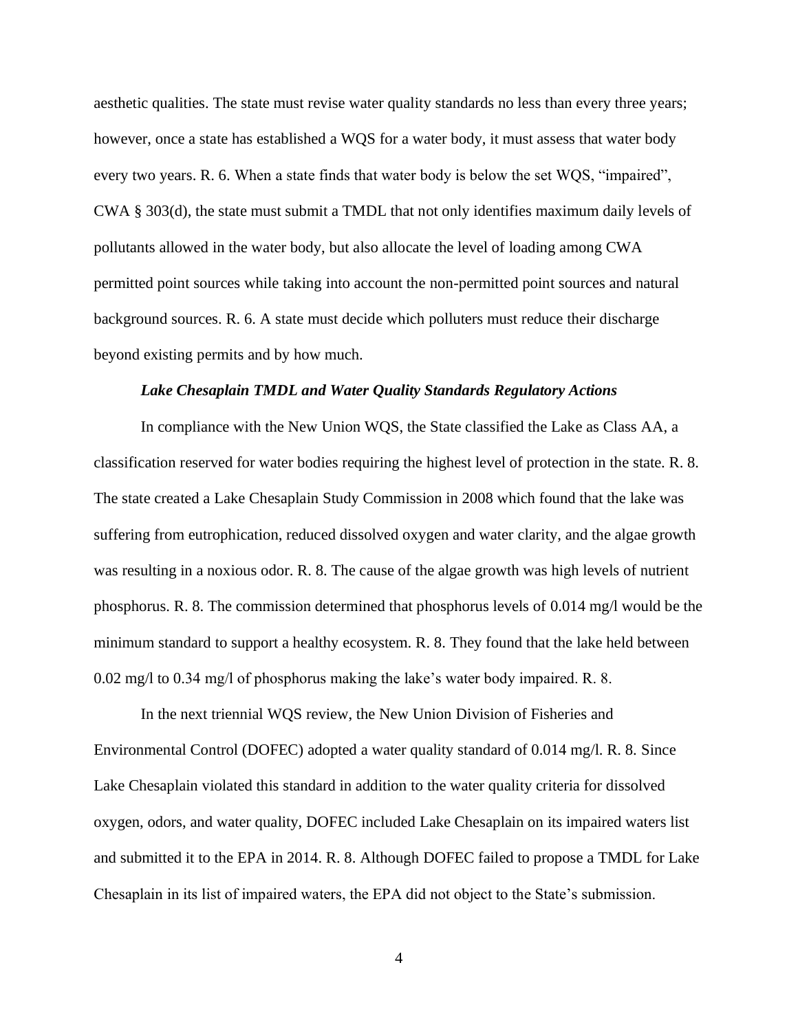aesthetic qualities. The state must revise water quality standards no less than every three years; however, once a state has established a WQS for a water body, it must assess that water body every two years. R. 6. When a state finds that water body is below the set WQS, "impaired", CWA § 303(d), the state must submit a TMDL that not only identifies maximum daily levels of pollutants allowed in the water body, but also allocate the level of loading among CWA permitted point sources while taking into account the non-permitted point sources and natural background sources. R. 6. A state must decide which polluters must reduce their discharge beyond existing permits and by how much.

### *Lake Chesaplain TMDL and Water Quality Standards Regulatory Actions*

In compliance with the New Union WQS, the State classified the Lake as Class AA, a classification reserved for water bodies requiring the highest level of protection in the state. R. 8. The state created a Lake Chesaplain Study Commission in 2008 which found that the lake was suffering from eutrophication, reduced dissolved oxygen and water clarity, and the algae growth was resulting in a noxious odor. R. 8. The cause of the algae growth was high levels of nutrient phosphorus. R. 8. The commission determined that phosphorus levels of 0.014 mg/l would be the minimum standard to support a healthy ecosystem. R. 8. They found that the lake held between 0.02 mg/l to 0.34 mg/l of phosphorus making the lake's water body impaired. R. 8.

In the next triennial WQS review, the New Union Division of Fisheries and Environmental Control (DOFEC) adopted a water quality standard of 0.014 mg/l. R. 8. Since Lake Chesaplain violated this standard in addition to the water quality criteria for dissolved oxygen, odors, and water quality, DOFEC included Lake Chesaplain on its impaired waters list and submitted it to the EPA in 2014. R. 8. Although DOFEC failed to propose a TMDL for Lake Chesaplain in its list of impaired waters, the EPA did not object to the State's submission.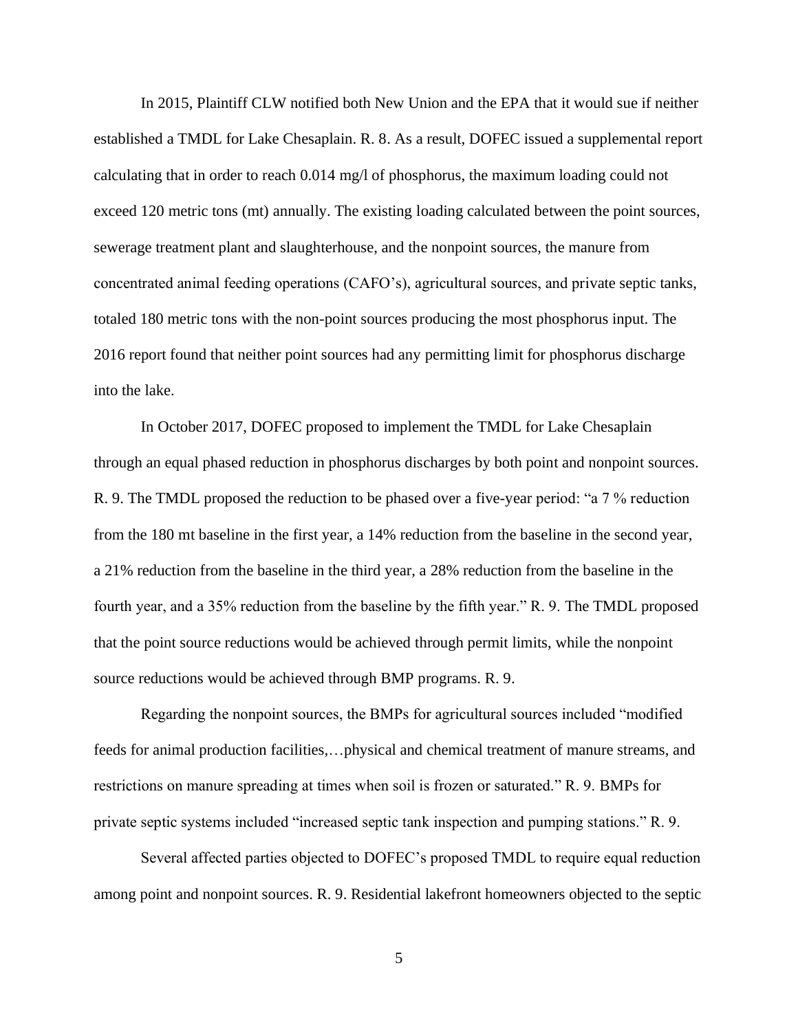In 2015, Plaintiff CLW notified both New Union and the EPA that it would sue if neither established a TMDL for Lake Chesaplain. R. 8. As a result, DOFEC issued a supplemental report calculating that in order to reach 0.014 mg/l of phosphorus, the maximum loading could not exceed 120 metric tons (mt) annually. The existing loading calculated between the point sources, sewerage treatment plant and slaughterhouse, and the nonpoint sources, the manure from concentrated animal feeding operations (CAFO's), agricultural sources, and private septic tanks, totaled 180 metric tons with the non-point sources producing the most phosphorus input. The 2016 report found that neither point sources had any permitting limit for phosphorus discharge into the lake.

In October 2017, DOFEC proposed to implement the TMDL for Lake Chesaplain through an equal phased reduction in phosphorus discharges by both point and nonpoint sources. R. 9. The TMDL proposed the reduction to be phased over a five-year period: "a 7 % reduction from the 180 mt baseline in the first year, a 14% reduction from the baseline in the second year, a 21% reduction from the baseline in the third year, a 28% reduction from the baseline in the fourth year, and a 35% reduction from the baseline by the fifth year." R. 9. The TMDL proposed that the point source reductions would be achieved through permit limits, while the nonpoint source reductions would be achieved through BMP programs. R. 9.

Regarding the nonpoint sources, the BMPs for agricultural sources included "modified feeds for animal production facilities,…physical and chemical treatment of manure streams, and restrictions on manure spreading at times when soil is frozen or saturated." R. 9. BMPs for private septic systems included "increased septic tank inspection and pumping stations." R. 9.

Several affected parties objected to DOFEC's proposed TMDL to require equal reduction among point and nonpoint sources. R. 9. Residential lakefront homeowners objected to the septic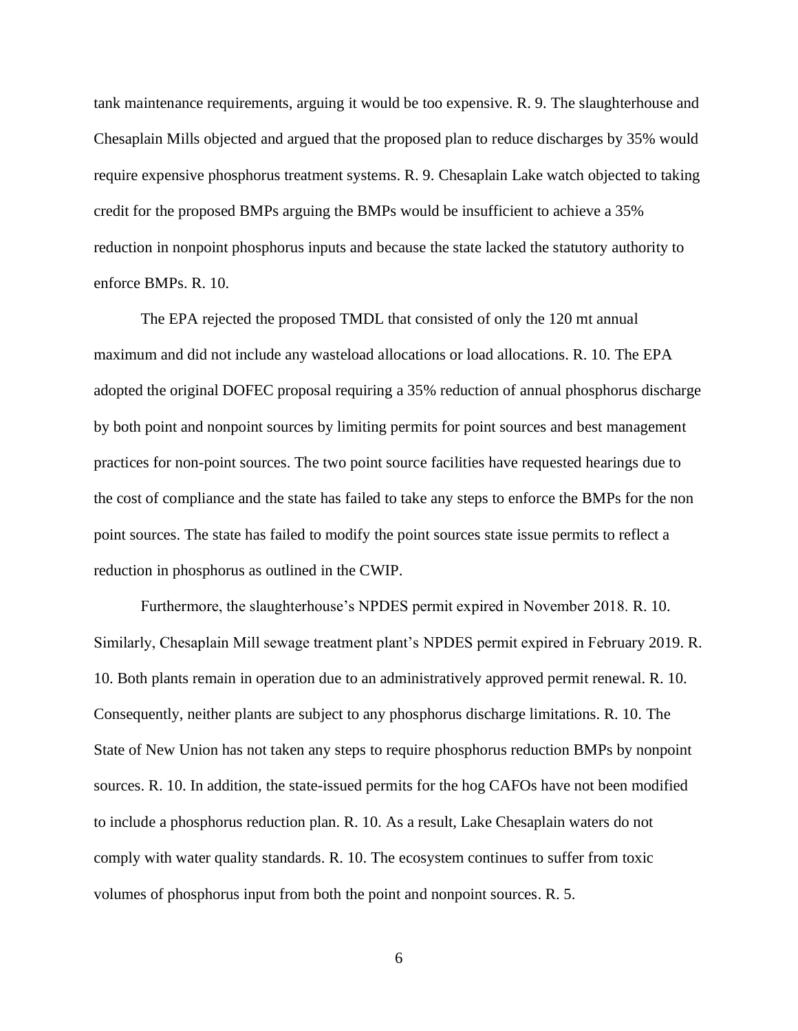tank maintenance requirements, arguing it would be too expensive. R. 9. The slaughterhouse and Chesaplain Mills objected and argued that the proposed plan to reduce discharges by 35% would require expensive phosphorus treatment systems. R. 9. Chesaplain Lake watch objected to taking credit for the proposed BMPs arguing the BMPs would be insufficient to achieve a 35% reduction in nonpoint phosphorus inputs and because the state lacked the statutory authority to enforce BMPs. R. 10.

The EPA rejected the proposed TMDL that consisted of only the 120 mt annual maximum and did not include any wasteload allocations or load allocations. R. 10. The EPA adopted the original DOFEC proposal requiring a 35% reduction of annual phosphorus discharge by both point and nonpoint sources by limiting permits for point sources and best management practices for non-point sources. The two point source facilities have requested hearings due to the cost of compliance and the state has failed to take any steps to enforce the BMPs for the non point sources. The state has failed to modify the point sources state issue permits to reflect a reduction in phosphorus as outlined in the CWIP.

Furthermore, the slaughterhouse's NPDES permit expired in November 2018. R. 10. Similarly, Chesaplain Mill sewage treatment plant's NPDES permit expired in February 2019. R. 10. Both plants remain in operation due to an administratively approved permit renewal. R. 10. Consequently, neither plants are subject to any phosphorus discharge limitations. R. 10. The State of New Union has not taken any steps to require phosphorus reduction BMPs by nonpoint sources. R. 10. In addition, the state-issued permits for the hog CAFOs have not been modified to include a phosphorus reduction plan. R. 10. As a result, Lake Chesaplain waters do not comply with water quality standards. R. 10. The ecosystem continues to suffer from toxic volumes of phosphorus input from both the point and nonpoint sources. R. 5.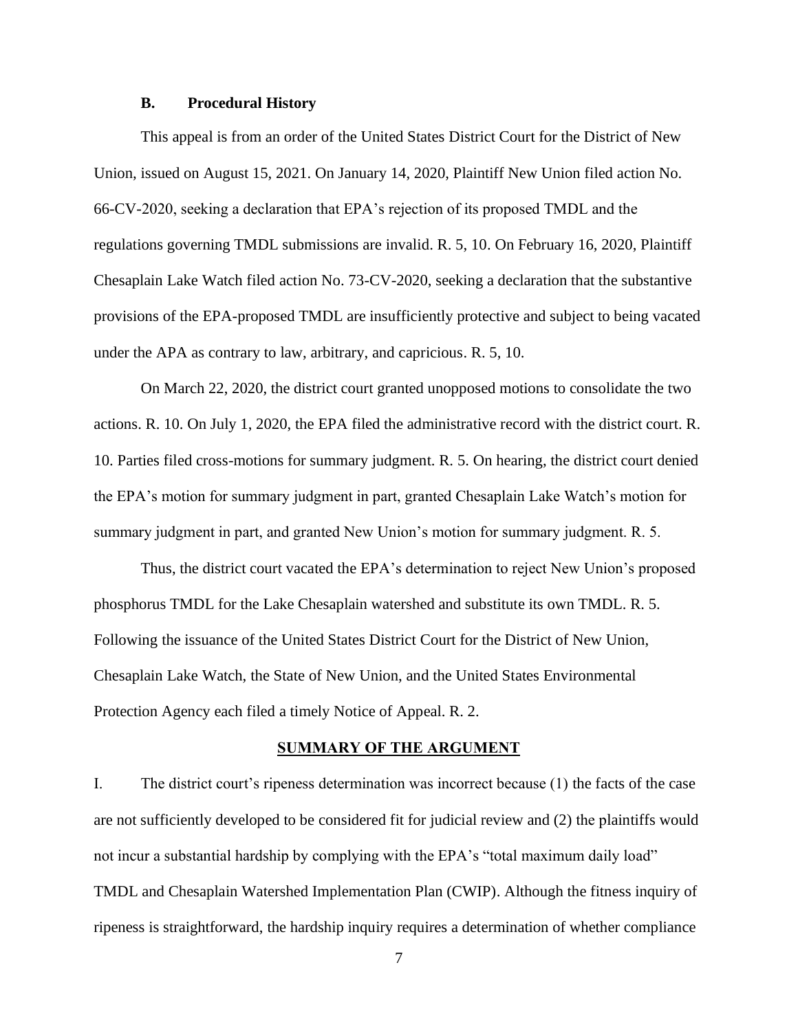### **B. Procedural History**

This appeal is from an order of the United States District Court for the District of New Union, issued on August 15, 2021. On January 14, 2020, Plaintiff New Union filed action No. 66-CV-2020, seeking a declaration that EPA's rejection of its proposed TMDL and the regulations governing TMDL submissions are invalid. R. 5, 10. On February 16, 2020, Plaintiff Chesaplain Lake Watch filed action No. 73-CV-2020, seeking a declaration that the substantive provisions of the EPA-proposed TMDL are insufficiently protective and subject to being vacated under the APA as contrary to law, arbitrary, and capricious. R. 5, 10.

On March 22, 2020, the district court granted unopposed motions to consolidate the two actions. R. 10. On July 1, 2020, the EPA filed the administrative record with the district court. R. 10. Parties filed cross-motions for summary judgment. R. 5. On hearing, the district court denied the EPA's motion for summary judgment in part, granted Chesaplain Lake Watch's motion for summary judgment in part, and granted New Union's motion for summary judgment. R. 5.

Thus, the district court vacated the EPA's determination to reject New Union's proposed phosphorus TMDL for the Lake Chesaplain watershed and substitute its own TMDL. R. 5. Following the issuance of the United States District Court for the District of New Union, Chesaplain Lake Watch, the State of New Union, and the United States Environmental Protection Agency each filed a timely Notice of Appeal. R. 2.

#### **SUMMARY OF THE ARGUMENT**

I. The district court's ripeness determination was incorrect because (1) the facts of the case are not sufficiently developed to be considered fit for judicial review and (2) the plaintiffs would not incur a substantial hardship by complying with the EPA's "total maximum daily load" TMDL and Chesaplain Watershed Implementation Plan (CWIP). Although the fitness inquiry of ripeness is straightforward, the hardship inquiry requires a determination of whether compliance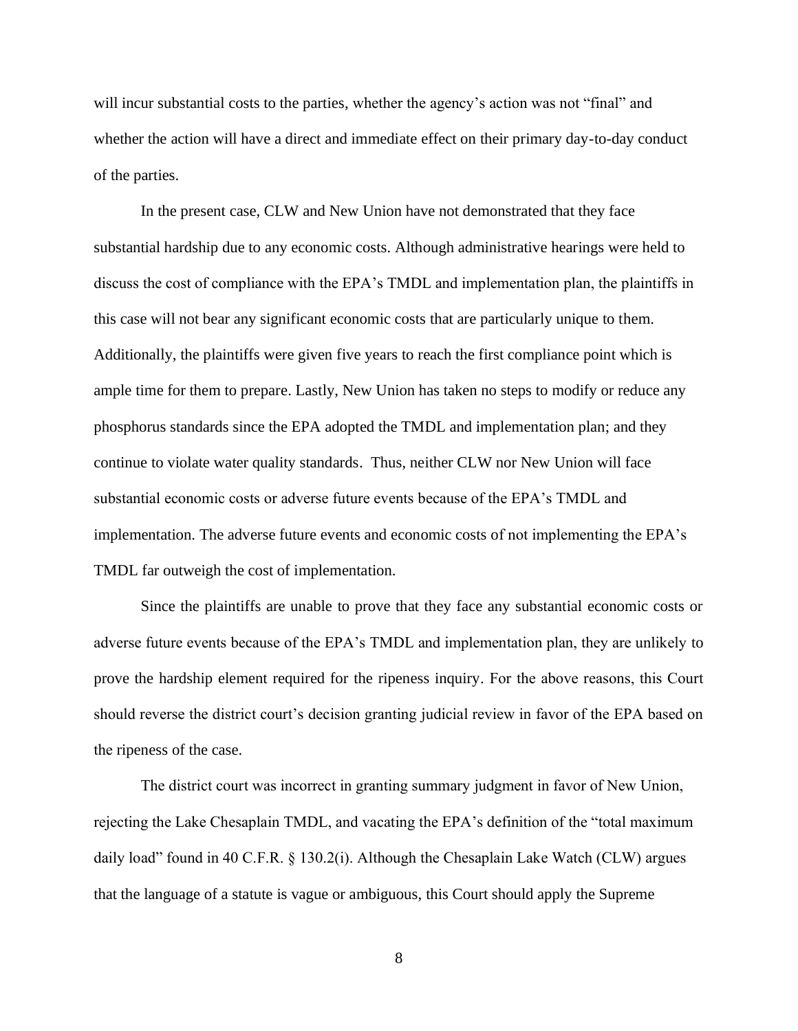will incur substantial costs to the parties, whether the agency's action was not "final" and whether the action will have a direct and immediate effect on their primary day-to-day conduct of the parties.

In the present case, CLW and New Union have not demonstrated that they face substantial hardship due to any economic costs. Although administrative hearings were held to discuss the cost of compliance with the EPA's TMDL and implementation plan, the plaintiffs in this case will not bear any significant economic costs that are particularly unique to them. Additionally, the plaintiffs were given five years to reach the first compliance point which is ample time for them to prepare. Lastly, New Union has taken no steps to modify or reduce any phosphorus standards since the EPA adopted the TMDL and implementation plan; and they continue to violate water quality standards. Thus, neither CLW nor New Union will face substantial economic costs or adverse future events because of the EPA's TMDL and implementation. The adverse future events and economic costs of not implementing the EPA's TMDL far outweigh the cost of implementation.

Since the plaintiffs are unable to prove that they face any substantial economic costs or adverse future events because of the EPA's TMDL and implementation plan, they are unlikely to prove the hardship element required for the ripeness inquiry. For the above reasons, this Court should reverse the district court's decision granting judicial review in favor of the EPA based on the ripeness of the case.

The district court was incorrect in granting summary judgment in favor of New Union, rejecting the Lake Chesaplain TMDL, and vacating the EPA's definition of the "total maximum daily load" found in 40 C.F.R. § 130.2(i). Although the Chesaplain Lake Watch (CLW) argues that the language of a statute is vague or ambiguous, this Court should apply the Supreme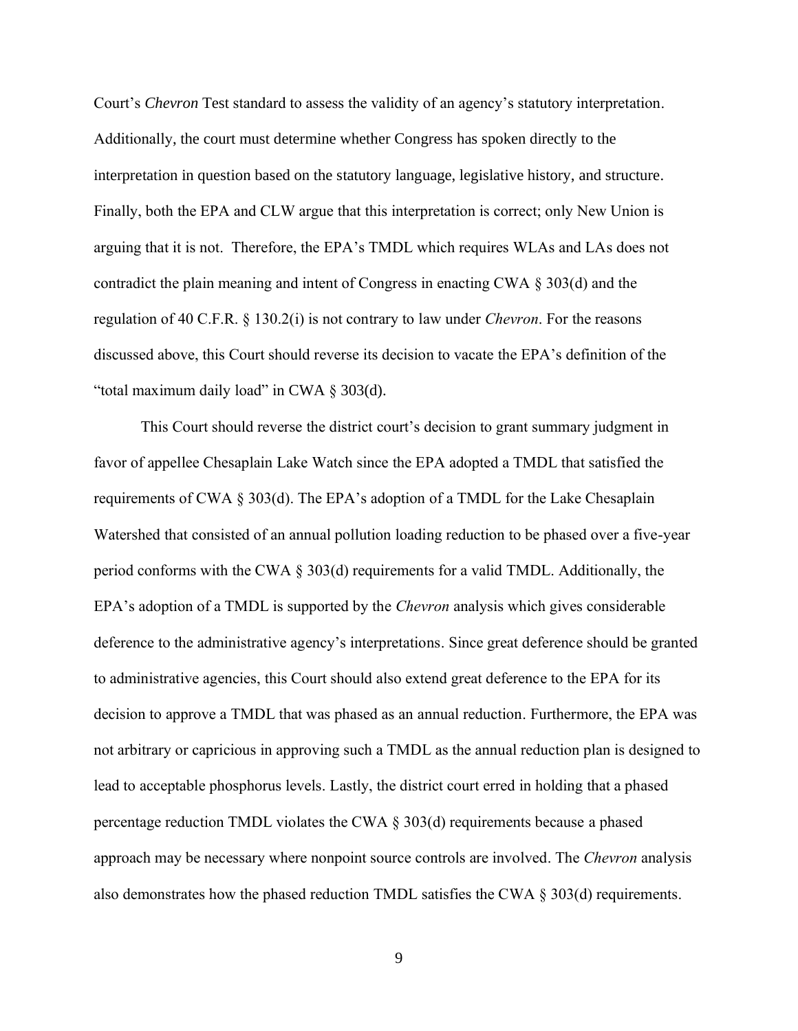Court's *Chevron* Test standard to assess the validity of an agency's statutory interpretation. Additionally, the court must determine whether Congress has spoken directly to the interpretation in question based on the statutory language, legislative history, and structure. Finally, both the EPA and CLW argue that this interpretation is correct; only New Union is arguing that it is not. Therefore, the EPA's TMDL which requires WLAs and LAs does not contradict the plain meaning and intent of Congress in enacting CWA § 303(d) and the regulation of 40 C.F.R. § 130.2(i) is not contrary to law under *Chevron*. For the reasons discussed above, this Court should reverse its decision to vacate the EPA's definition of the "total maximum daily load" in CWA § 303(d).

This Court should reverse the district court's decision to grant summary judgment in favor of appellee Chesaplain Lake Watch since the EPA adopted a TMDL that satisfied the requirements of CWA § 303(d). The EPA's adoption of a TMDL for the Lake Chesaplain Watershed that consisted of an annual pollution loading reduction to be phased over a five-year period conforms with the CWA § 303(d) requirements for a valid TMDL. Additionally, the EPA's adoption of a TMDL is supported by the *Chevron* analysis which gives considerable deference to the administrative agency's interpretations. Since great deference should be granted to administrative agencies, this Court should also extend great deference to the EPA for its decision to approve a TMDL that was phased as an annual reduction. Furthermore, the EPA was not arbitrary or capricious in approving such a TMDL as the annual reduction plan is designed to lead to acceptable phosphorus levels. Lastly, the district court erred in holding that a phased percentage reduction TMDL violates the CWA § 303(d) requirements because a phased approach may be necessary where nonpoint source controls are involved. The *Chevron* analysis also demonstrates how the phased reduction TMDL satisfies the CWA § 303(d) requirements.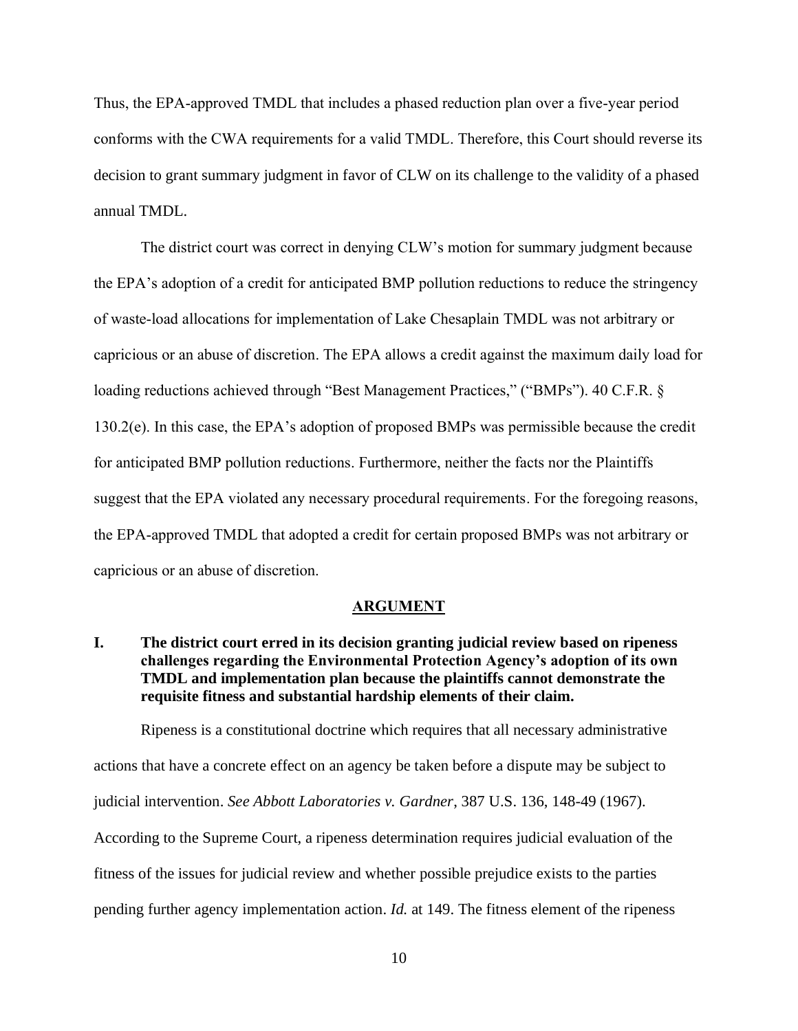Thus, the EPA-approved TMDL that includes a phased reduction plan over a five-year period conforms with the CWA requirements for a valid TMDL. Therefore, this Court should reverse its decision to grant summary judgment in favor of CLW on its challenge to the validity of a phased annual TMDL.

The district court was correct in denying CLW's motion for summary judgment because the EPA's adoption of a credit for anticipated BMP pollution reductions to reduce the stringency of waste-load allocations for implementation of Lake Chesaplain TMDL was not arbitrary or capricious or an abuse of discretion. The EPA allows a credit against the maximum daily load for loading reductions achieved through "Best Management Practices," ("BMPs"). 40 C.F.R. § 130.2(e). In this case, the EPA's adoption of proposed BMPs was permissible because the credit for anticipated BMP pollution reductions. Furthermore, neither the facts nor the Plaintiffs suggest that the EPA violated any necessary procedural requirements. For the foregoing reasons, the EPA-approved TMDL that adopted a credit for certain proposed BMPs was not arbitrary or capricious or an abuse of discretion.

#### **ARGUMENT**

**I. The district court erred in its decision granting judicial review based on ripeness challenges regarding the Environmental Protection Agency's adoption of its own TMDL and implementation plan because the plaintiffs cannot demonstrate the requisite fitness and substantial hardship elements of their claim.**

Ripeness is a constitutional doctrine which requires that all necessary administrative actions that have a concrete effect on an agency be taken before a dispute may be subject to judicial intervention. *See Abbott Laboratories v. Gardner*, 387 U.S. 136, 148-49 (1967). According to the Supreme Court, a ripeness determination requires judicial evaluation of the fitness of the issues for judicial review and whether possible prejudice exists to the parties pending further agency implementation action. *Id.* at 149. The fitness element of the ripeness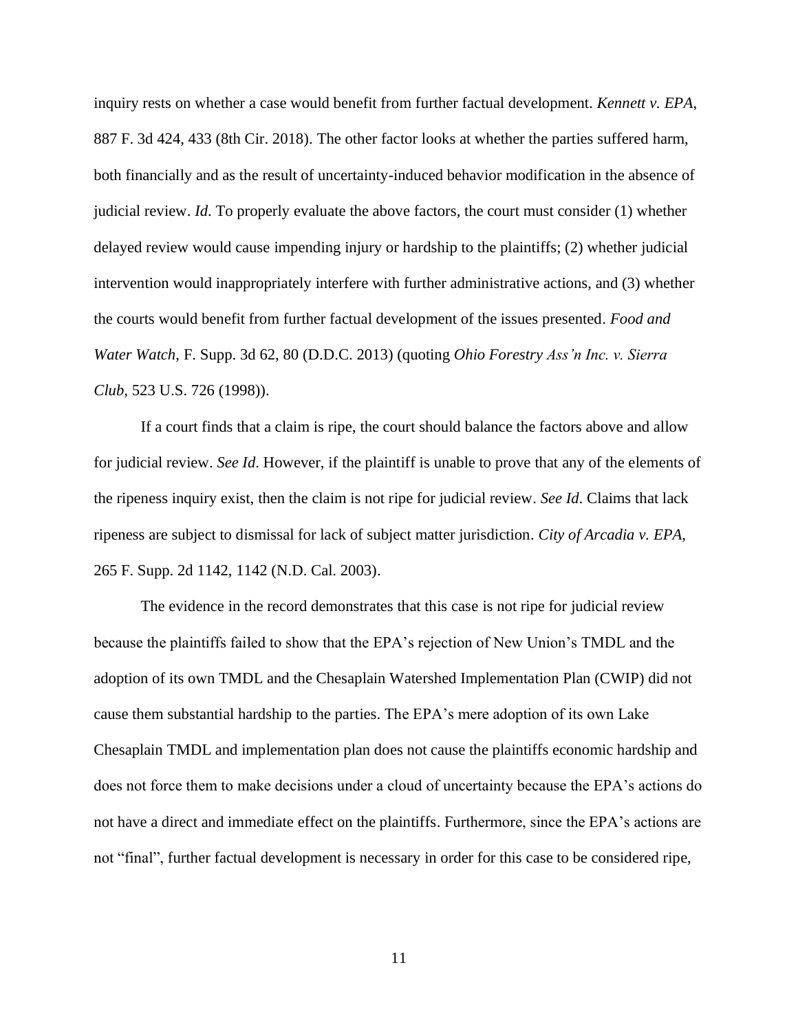inquiry rests on whether a case would benefit from further factual development. *Kennett v. EPA*, 887 F. 3d 424, 433 (8th Cir. 2018). The other factor looks at whether the parties suffered harm, both financially and as the result of uncertainty-induced behavior modification in the absence of judicial review. *Id*. To properly evaluate the above factors, the court must consider (1) whether delayed review would cause impending injury or hardship to the plaintiffs; (2) whether judicial intervention would inappropriately interfere with further administrative actions, and (3) whether the courts would benefit from further factual development of the issues presented. *Food and Water Watch*, F. Supp. 3d 62, 80 (D.D.C. 2013) (quoting *Ohio Forestry Ass'n Inc. v. Sierra Club,* 523 U.S. 726 (1998)).

If a court finds that a claim is ripe, the court should balance the factors above and allow for judicial review. *See Id*. However, if the plaintiff is unable to prove that any of the elements of the ripeness inquiry exist, then the claim is not ripe for judicial review. *See Id*. Claims that lack ripeness are subject to dismissal for lack of subject matter jurisdiction. *City of Arcadia v. EPA*, 265 F. Supp. 2d 1142, 1142 (N.D. Cal. 2003).

The evidence in the record demonstrates that this case is not ripe for judicial review because the plaintiffs failed to show that the EPA's rejection of New Union's TMDL and the adoption of its own TMDL and the Chesaplain Watershed Implementation Plan (CWIP) did not cause them substantial hardship to the parties. The EPA's mere adoption of its own Lake Chesaplain TMDL and implementation plan does not cause the plaintiffs economic hardship and does not force them to make decisions under a cloud of uncertainty because the EPA's actions do not have a direct and immediate effect on the plaintiffs. Furthermore, since the EPA's actions are not "final", further factual development is necessary in order for this case to be considered ripe,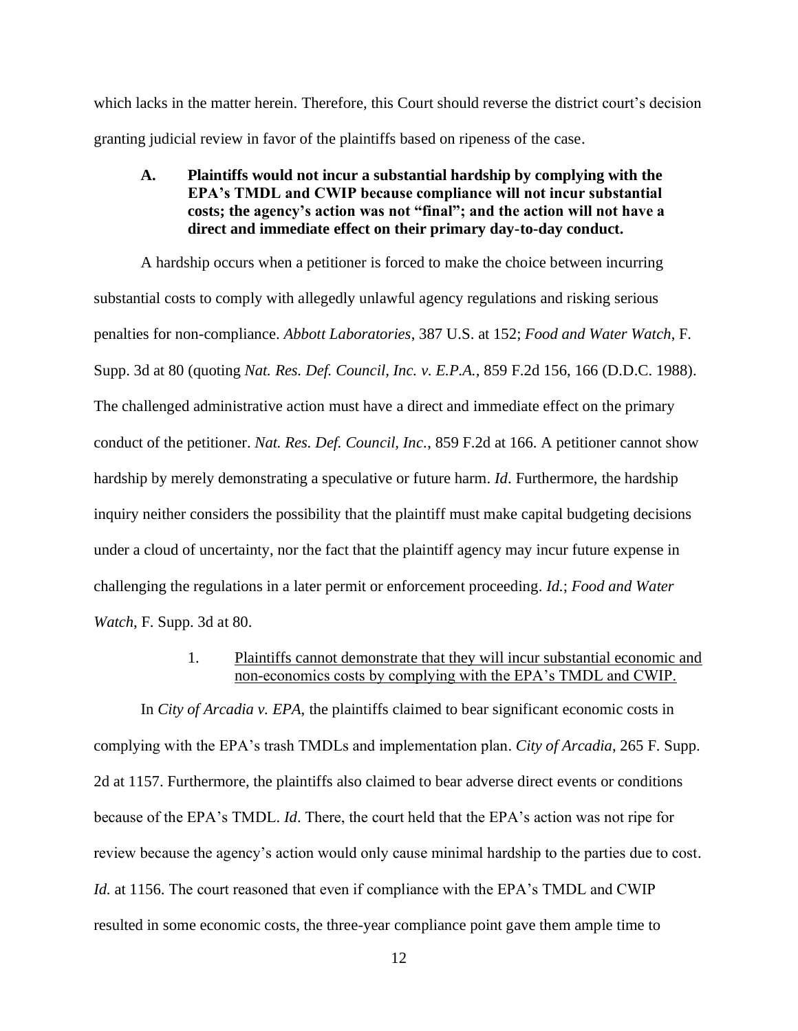which lacks in the matter herein. Therefore, this Court should reverse the district court's decision granting judicial review in favor of the plaintiffs based on ripeness of the case.

**A. Plaintiffs would not incur a substantial hardship by complying with the EPA's TMDL and CWIP because compliance will not incur substantial costs; the agency's action was not "final"; and the action will not have a direct and immediate effect on their primary day-to-day conduct.**

A hardship occurs when a petitioner is forced to make the choice between incurring substantial costs to comply with allegedly unlawful agency regulations and risking serious penalties for non-compliance. *Abbott Laboratories*, 387 U.S. at 152; *Food and Water Watch*, F. Supp. 3d at 80 (quoting *Nat. Res. Def. Council, Inc. v. E.P.A.,* 859 F.2d 156, 166 (D.D.C. 1988). The challenged administrative action must have a direct and immediate effect on the primary conduct of the petitioner. *Nat. Res. Def. Council, Inc.*, 859 F.2d at 166. A petitioner cannot show hardship by merely demonstrating a speculative or future harm. *Id*. Furthermore, the hardship inquiry neither considers the possibility that the plaintiff must make capital budgeting decisions under a cloud of uncertainty, nor the fact that the plaintiff agency may incur future expense in challenging the regulations in a later permit or enforcement proceeding. *Id.*; *Food and Water Watch*, F. Supp. 3d at 80.

> 1. Plaintiffs cannot demonstrate that they will incur substantial economic and non-economics costs by complying with the EPA's TMDL and CWIP.

In *City of Arcadia v. EPA*, the plaintiffs claimed to bear significant economic costs in complying with the EPA's trash TMDLs and implementation plan. *City of Arcadia*, 265 F. Supp. 2d at 1157. Furthermore, the plaintiffs also claimed to bear adverse direct events or conditions because of the EPA's TMDL. *Id*. There, the court held that the EPA's action was not ripe for review because the agency's action would only cause minimal hardship to the parties due to cost. *Id.* at 1156. The court reasoned that even if compliance with the EPA's TMDL and CWIP resulted in some economic costs, the three-year compliance point gave them ample time to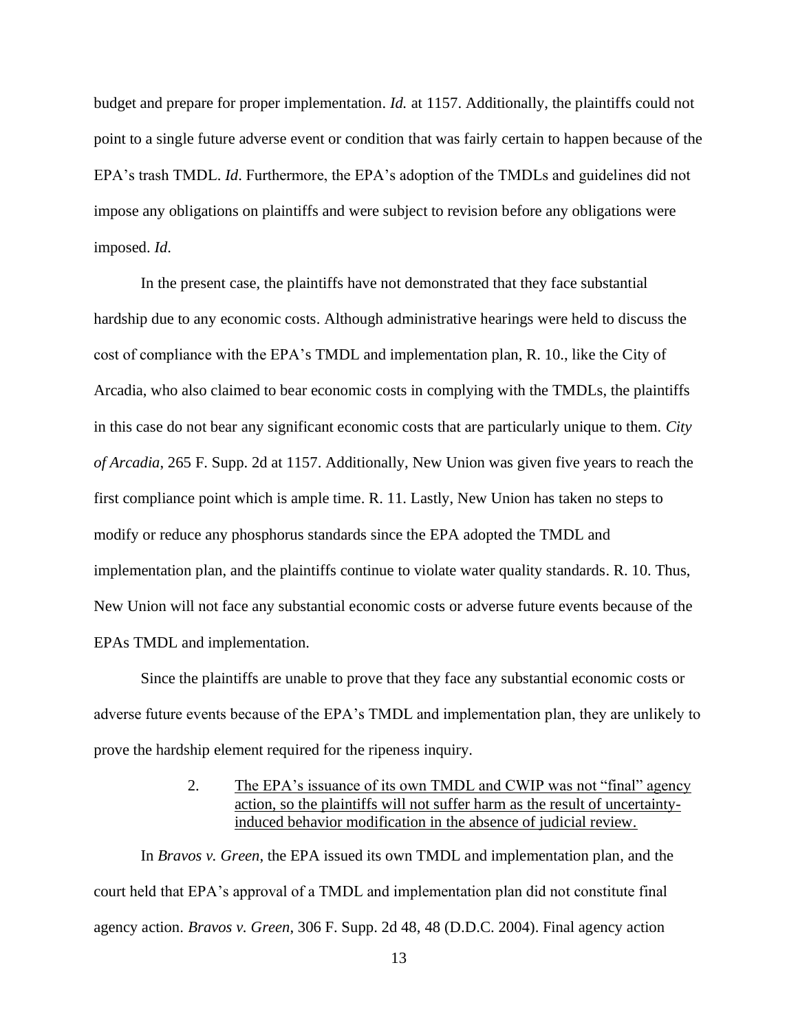budget and prepare for proper implementation. *Id.* at 1157. Additionally, the plaintiffs could not point to a single future adverse event or condition that was fairly certain to happen because of the EPA's trash TMDL. *Id*. Furthermore, the EPA's adoption of the TMDLs and guidelines did not impose any obligations on plaintiffs and were subject to revision before any obligations were imposed. *Id*.

In the present case, the plaintiffs have not demonstrated that they face substantial hardship due to any economic costs. Although administrative hearings were held to discuss the cost of compliance with the EPA's TMDL and implementation plan, R. 10., like the City of Arcadia, who also claimed to bear economic costs in complying with the TMDLs, the plaintiffs in this case do not bear any significant economic costs that are particularly unique to them. *City of Arcadia*, 265 F. Supp. 2d at 1157. Additionally, New Union was given five years to reach the first compliance point which is ample time. R. 11. Lastly, New Union has taken no steps to modify or reduce any phosphorus standards since the EPA adopted the TMDL and implementation plan, and the plaintiffs continue to violate water quality standards. R. 10. Thus, New Union will not face any substantial economic costs or adverse future events because of the EPAs TMDL and implementation.

Since the plaintiffs are unable to prove that they face any substantial economic costs or adverse future events because of the EPA's TMDL and implementation plan, they are unlikely to prove the hardship element required for the ripeness inquiry.

> 2. The EPA's issuance of its own TMDL and CWIP was not "final" agency action, so the plaintiffs will not suffer harm as the result of uncertaintyinduced behavior modification in the absence of judicial review.

In *Bravos v. Green*, the EPA issued its own TMDL and implementation plan, and the court held that EPA's approval of a TMDL and implementation plan did not constitute final agency action. *Bravos v. Green*, 306 F. Supp. 2d 48, 48 (D.D.C. 2004). Final agency action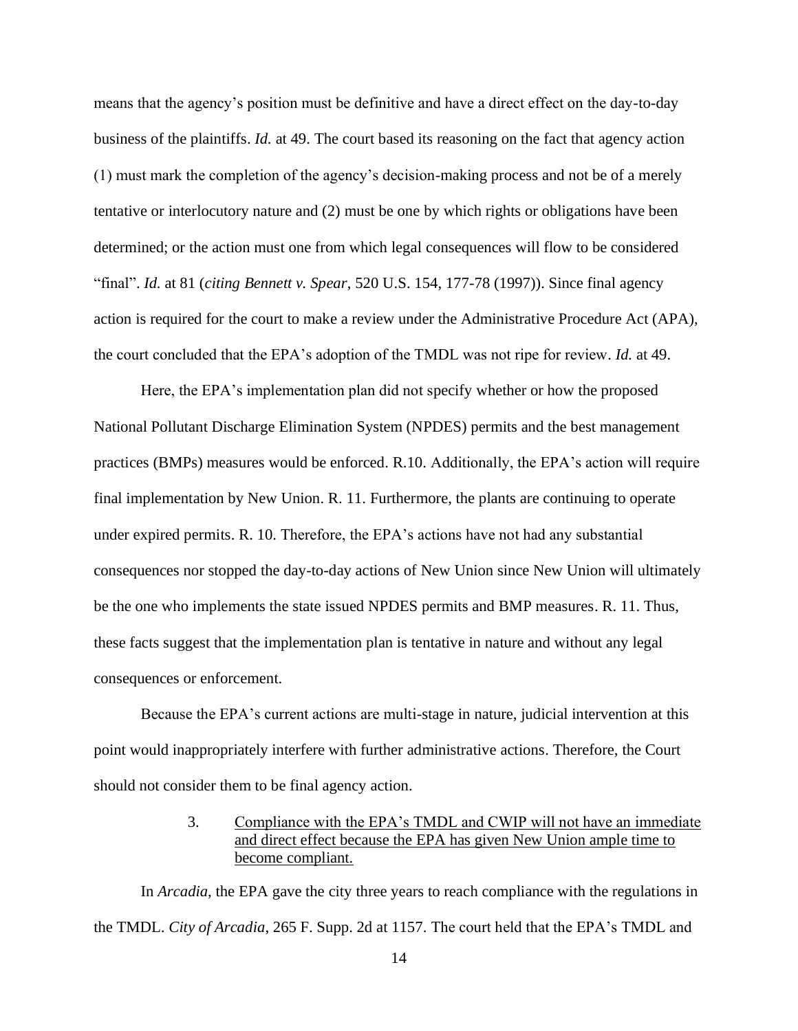means that the agency's position must be definitive and have a direct effect on the day-to-day business of the plaintiffs. *Id.* at 49. The court based its reasoning on the fact that agency action (1) must mark the completion of the agency's decision-making process and not be of a merely tentative or interlocutory nature and (2) must be one by which rights or obligations have been determined; or the action must one from which legal consequences will flow to be considered "final". *Id.* at 81 (*citing Bennett v. Spear*, 520 U.S. 154, 177-78 (1997)). Since final agency action is required for the court to make a review under the Administrative Procedure Act (APA), the court concluded that the EPA's adoption of the TMDL was not ripe for review. *Id.* at 49.

Here, the EPA's implementation plan did not specify whether or how the proposed National Pollutant Discharge Elimination System (NPDES) permits and the best management practices (BMPs) measures would be enforced. R.10. Additionally, the EPA's action will require final implementation by New Union. R. 11. Furthermore, the plants are continuing to operate under expired permits. R. 10. Therefore, the EPA's actions have not had any substantial consequences nor stopped the day-to-day actions of New Union since New Union will ultimately be the one who implements the state issued NPDES permits and BMP measures. R. 11. Thus, these facts suggest that the implementation plan is tentative in nature and without any legal consequences or enforcement.

Because the EPA's current actions are multi-stage in nature, judicial intervention at this point would inappropriately interfere with further administrative actions. Therefore, the Court should not consider them to be final agency action.

# 3. Compliance with the EPA's TMDL and CWIP will not have an immediate and direct effect because the EPA has given New Union ample time to become compliant.

In *Arcadia*, the EPA gave the city three years to reach compliance with the regulations in the TMDL. *City of Arcadia*, 265 F. Supp. 2d at 1157. The court held that the EPA's TMDL and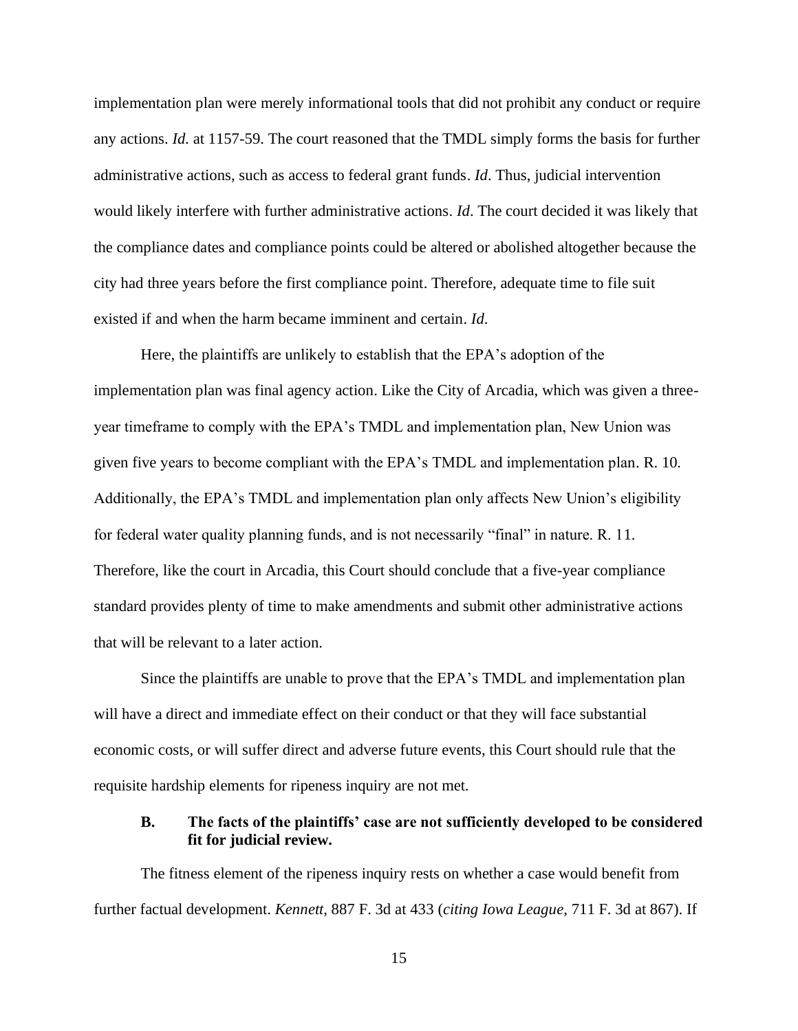implementation plan were merely informational tools that did not prohibit any conduct or require any actions. *Id.* at 1157-59. The court reasoned that the TMDL simply forms the basis for further administrative actions, such as access to federal grant funds. *Id*. Thus, judicial intervention would likely interfere with further administrative actions. *Id*. The court decided it was likely that the compliance dates and compliance points could be altered or abolished altogether because the city had three years before the first compliance point. Therefore, adequate time to file suit existed if and when the harm became imminent and certain. *Id*.

Here, the plaintiffs are unlikely to establish that the EPA's adoption of the implementation plan was final agency action. Like the City of Arcadia, which was given a threeyear timeframe to comply with the EPA's TMDL and implementation plan, New Union was given five years to become compliant with the EPA's TMDL and implementation plan. R. 10*.*  Additionally, the EPA's TMDL and implementation plan only affects New Union's eligibility for federal water quality planning funds, and is not necessarily "final" in nature. R. 11. Therefore, like the court in Arcadia, this Court should conclude that a five-year compliance standard provides plenty of time to make amendments and submit other administrative actions that will be relevant to a later action.

Since the plaintiffs are unable to prove that the EPA's TMDL and implementation plan will have a direct and immediate effect on their conduct or that they will face substantial economic costs, or will suffer direct and adverse future events, this Court should rule that the requisite hardship elements for ripeness inquiry are not met.

## **B. The facts of the plaintiffs' case are not sufficiently developed to be considered fit for judicial review.**

The fitness element of the ripeness inquiry rests on whether a case would benefit from further factual development. *Kennett*, 887 F. 3d at 433 (*citing Iowa League*, 711 F. 3d at 867). If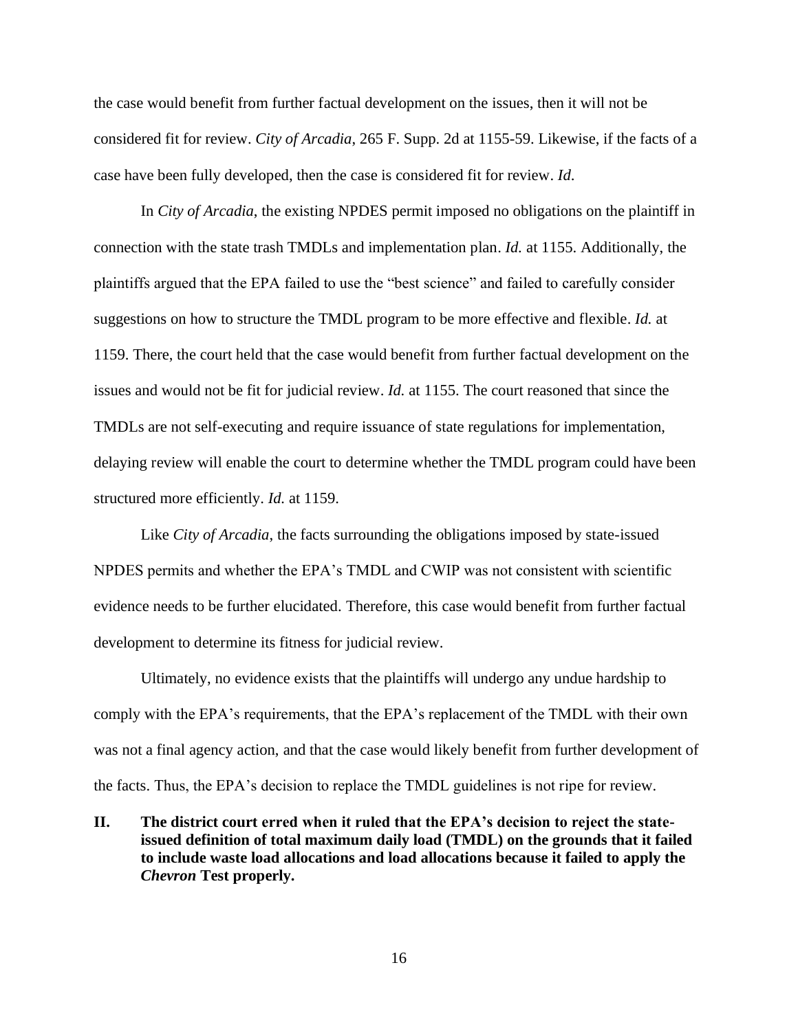the case would benefit from further factual development on the issues, then it will not be considered fit for review. *City of Arcadia*, 265 F. Supp. 2d at 1155-59. Likewise, if the facts of a case have been fully developed, then the case is considered fit for review. *Id*.

In *City of Arcadia*, the existing NPDES permit imposed no obligations on the plaintiff in connection with the state trash TMDLs and implementation plan. *Id.* at 1155. Additionally, the plaintiffs argued that the EPA failed to use the "best science" and failed to carefully consider suggestions on how to structure the TMDL program to be more effective and flexible. *Id.* at 1159. There, the court held that the case would benefit from further factual development on the issues and would not be fit for judicial review. *Id.* at 1155. The court reasoned that since the TMDLs are not self-executing and require issuance of state regulations for implementation, delaying review will enable the court to determine whether the TMDL program could have been structured more efficiently. *Id.* at 1159.

Like *City of Arcadia*, the facts surrounding the obligations imposed by state-issued NPDES permits and whether the EPA's TMDL and CWIP was not consistent with scientific evidence needs to be further elucidated. Therefore, this case would benefit from further factual development to determine its fitness for judicial review.

Ultimately, no evidence exists that the plaintiffs will undergo any undue hardship to comply with the EPA's requirements, that the EPA's replacement of the TMDL with their own was not a final agency action, and that the case would likely benefit from further development of the facts. Thus, the EPA's decision to replace the TMDL guidelines is not ripe for review.

**II. The district court erred when it ruled that the EPA's decision to reject the stateissued definition of total maximum daily load (TMDL) on the grounds that it failed to include waste load allocations and load allocations because it failed to apply the**  *Chevron* **Test properly.**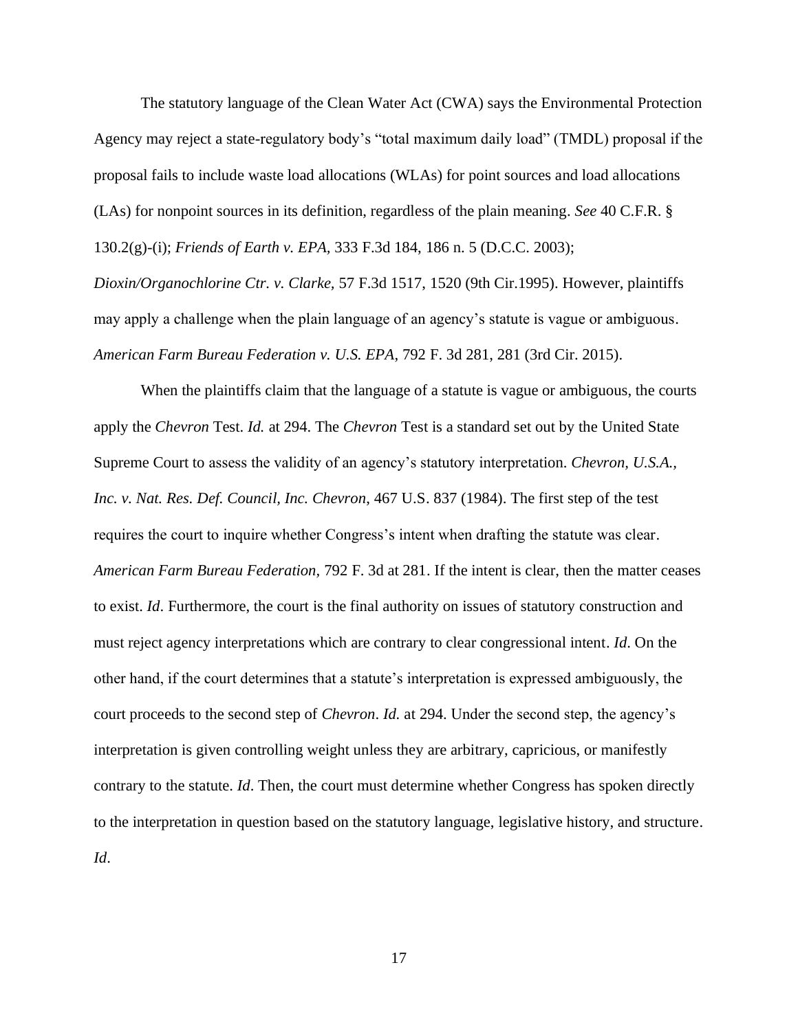The statutory language of the Clean Water Act (CWA) says the Environmental Protection Agency may reject a state-regulatory body's "total maximum daily load" (TMDL) proposal if the proposal fails to include waste load allocations (WLAs) for point sources and load allocations (LAs) for nonpoint sources in its definition, regardless of the plain meaning. *See* 40 C.F.R. § 130.2(g)-(i); *Friends of Earth v. EPA,* 333 F.3d 184, 186 n. 5 (D.C.C. 2003);

*Dioxin/Organochlorine Ctr. v. Clarke,* 57 F.3d 1517, 1520 (9th Cir.1995). However, plaintiffs may apply a challenge when the plain language of an agency's statute is vague or ambiguous. *American Farm Bureau Federation v. U.S. EPA*, 792 F. 3d 281, 281 (3rd Cir. 2015).

When the plaintiffs claim that the language of a statute is vague or ambiguous, the courts apply the *Chevron* Test. *Id.* at 294. The *Chevron* Test is a standard set out by the United State Supreme Court to assess the validity of an agency's statutory interpretation. *Chevron, U.S.A., Inc. v. Nat. Res. Def. Council, Inc. Chevron*, 467 U.S. 837 (1984). The first step of the test requires the court to inquire whether Congress's intent when drafting the statute was clear. *American Farm Bureau Federation,* 792 F. 3d at 281. If the intent is clear, then the matter ceases to exist. *Id*. Furthermore, the court is the final authority on issues of statutory construction and must reject agency interpretations which are contrary to clear congressional intent. *Id*. On the other hand, if the court determines that a statute's interpretation is expressed ambiguously, the court proceeds to the second step of *Chevron*. *Id.* at 294. Under the second step, the agency's interpretation is given controlling weight unless they are arbitrary, capricious, or manifestly contrary to the statute. *Id*. Then, the court must determine whether Congress has spoken directly to the interpretation in question based on the statutory language, legislative history, and structure. *Id*.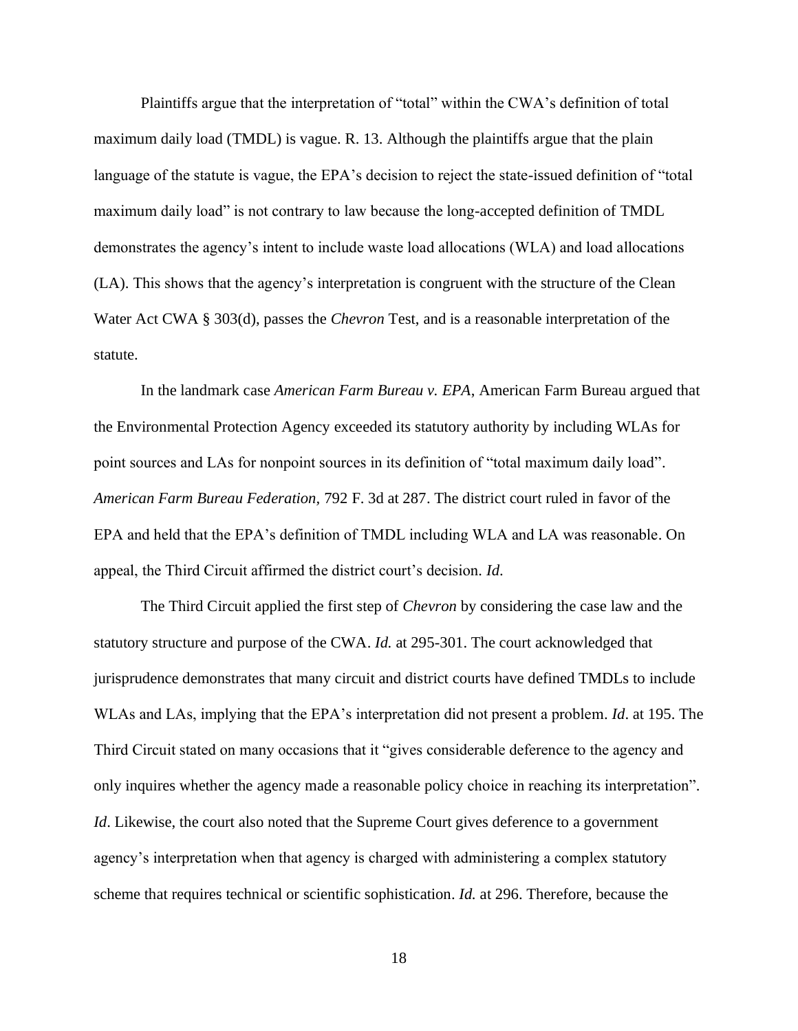Plaintiffs argue that the interpretation of "total" within the CWA's definition of total maximum daily load (TMDL) is vague. R. 13. Although the plaintiffs argue that the plain language of the statute is vague, the EPA's decision to reject the state-issued definition of "total maximum daily load" is not contrary to law because the long-accepted definition of TMDL demonstrates the agency's intent to include waste load allocations (WLA) and load allocations (LA). This shows that the agency's interpretation is congruent with the structure of the Clean Water Act CWA § 303(d), passes the *Chevron* Test, and is a reasonable interpretation of the statute.

In the landmark case *American Farm Bureau v. EPA*, American Farm Bureau argued that the Environmental Protection Agency exceeded its statutory authority by including WLAs for point sources and LAs for nonpoint sources in its definition of "total maximum daily load". *American Farm Bureau Federation,* 792 F. 3d at 287. The district court ruled in favor of the EPA and held that the EPA's definition of TMDL including WLA and LA was reasonable. On appeal, the Third Circuit affirmed the district court's decision*. Id*.

The Third Circuit applied the first step of *Chevron* by considering the case law and the statutory structure and purpose of the CWA. *Id.* at 295-301. The court acknowledged that jurisprudence demonstrates that many circuit and district courts have defined TMDLs to include WLAs and LAs, implying that the EPA's interpretation did not present a problem. *Id*. at 195. The Third Circuit stated on many occasions that it "gives considerable deference to the agency and only inquires whether the agency made a reasonable policy choice in reaching its interpretation". *Id*. Likewise, the court also noted that the Supreme Court gives deference to a government agency's interpretation when that agency is charged with administering a complex statutory scheme that requires technical or scientific sophistication. *Id.* at 296. Therefore, because the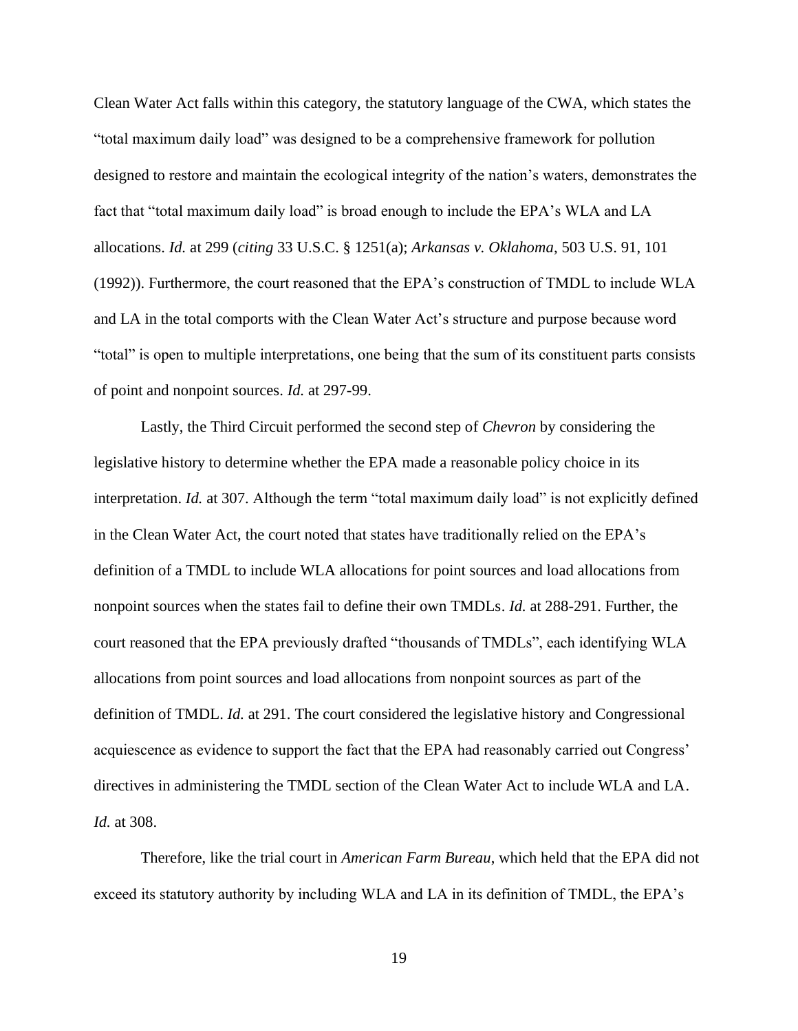Clean Water Act falls within this category, the statutory language of the CWA, which states the "total maximum daily load" was designed to be a comprehensive framework for pollution designed to restore and maintain the ecological integrity of the nation's waters, demonstrates the fact that "total maximum daily load" is broad enough to include the EPA's WLA and LA allocations. *Id.* at 299 (*citing* 33 U.S.C. § 1251(a); *Arkansas v. Oklahoma*, 503 U.S. 91, 101 (1992)). Furthermore, the court reasoned that the EPA's construction of TMDL to include WLA and LA in the total comports with the Clean Water Act's structure and purpose because word "total" is open to multiple interpretations, one being that the sum of its constituent parts consists of point and nonpoint sources. *Id.* at 297-99.

Lastly, the Third Circuit performed the second step of *Chevron* by considering the legislative history to determine whether the EPA made a reasonable policy choice in its interpretation. *Id.* at 307. Although the term "total maximum daily load" is not explicitly defined in the Clean Water Act, the court noted that states have traditionally relied on the EPA's definition of a TMDL to include WLA allocations for point sources and load allocations from nonpoint sources when the states fail to define their own TMDLs. *Id.* at 288-291. Further, the court reasoned that the EPA previously drafted "thousands of TMDLs", each identifying WLA allocations from point sources and load allocations from nonpoint sources as part of the definition of TMDL. *Id.* at 291. The court considered the legislative history and Congressional acquiescence as evidence to support the fact that the EPA had reasonably carried out Congress' directives in administering the TMDL section of the Clean Water Act to include WLA and LA. *Id.* at 308.

Therefore, like the trial court in *American Farm Bureau*, which held that the EPA did not exceed its statutory authority by including WLA and LA in its definition of TMDL, the EPA's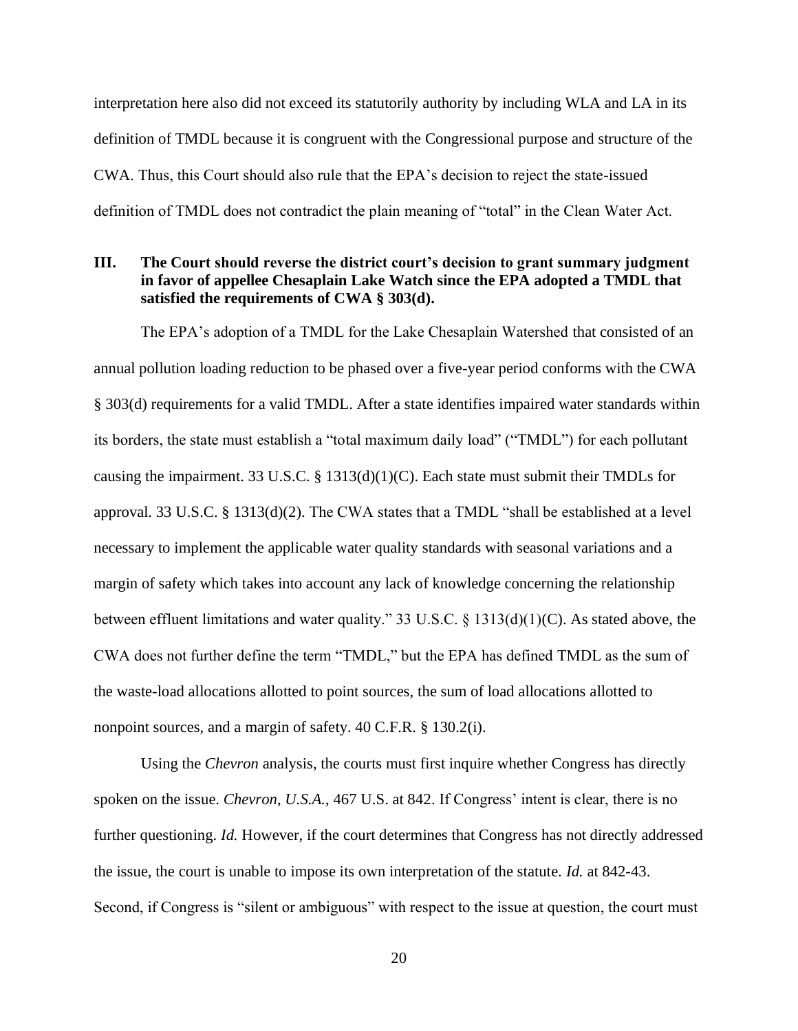interpretation here also did not exceed its statutorily authority by including WLA and LA in its definition of TMDL because it is congruent with the Congressional purpose and structure of the CWA. Thus, this Court should also rule that the EPA's decision to reject the state-issued definition of TMDL does not contradict the plain meaning of "total" in the Clean Water Act.

# **III. The Court should reverse the district court's decision to grant summary judgment in favor of appellee Chesaplain Lake Watch since the EPA adopted a TMDL that satisfied the requirements of CWA § 303(d).**

The EPA's adoption of a TMDL for the Lake Chesaplain Watershed that consisted of an annual pollution loading reduction to be phased over a five-year period conforms with the CWA § 303(d) requirements for a valid TMDL. After a state identifies impaired water standards within its borders, the state must establish a "total maximum daily load" ("TMDL") for each pollutant causing the impairment. 33 U.S.C. § 1313(d)(1)(C). Each state must submit their TMDLs for approval. 33 U.S.C. § 1313(d)(2). The CWA states that a TMDL "shall be established at a level necessary to implement the applicable water quality standards with seasonal variations and a margin of safety which takes into account any lack of knowledge concerning the relationship between effluent limitations and water quality." 33 U.S.C. § 1313(d)(1)(C). As stated above, the CWA does not further define the term "TMDL," but the EPA has defined TMDL as the sum of the waste-load allocations allotted to point sources, the sum of load allocations allotted to nonpoint sources, and a margin of safety. 40 C.F.R. § 130.2(i).

Using the *Chevron* analysis, the courts must first inquire whether Congress has directly spoken on the issue. *Chevron, U.S.A.*, 467 U.S. at 842. If Congress' intent is clear, there is no further questioning. *Id.* However, if the court determines that Congress has not directly addressed the issue, the court is unable to impose its own interpretation of the statute. *Id.* at 842-43. Second, if Congress is "silent or ambiguous" with respect to the issue at question, the court must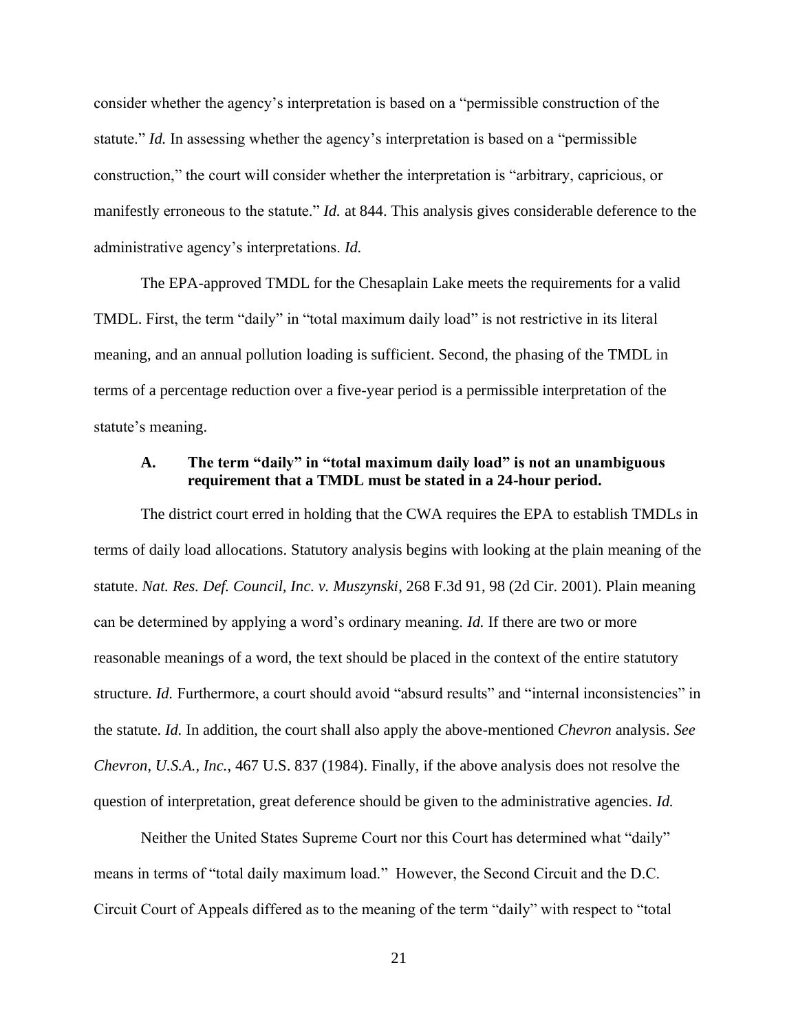consider whether the agency's interpretation is based on a "permissible construction of the statute." *Id.* In assessing whether the agency's interpretation is based on a "permissible construction," the court will consider whether the interpretation is "arbitrary, capricious, or manifestly erroneous to the statute." *Id.* at 844. This analysis gives considerable deference to the administrative agency's interpretations. *Id.*

The EPA-approved TMDL for the Chesaplain Lake meets the requirements for a valid TMDL. First, the term "daily" in "total maximum daily load" is not restrictive in its literal meaning, and an annual pollution loading is sufficient. Second, the phasing of the TMDL in terms of a percentage reduction over a five-year period is a permissible interpretation of the statute's meaning.

# **A. The term "daily" in "total maximum daily load" is not an unambiguous requirement that a TMDL must be stated in a 24-hour period.**

The district court erred in holding that the CWA requires the EPA to establish TMDLs in terms of daily load allocations. Statutory analysis begins with looking at the plain meaning of the statute. *Nat. Res. Def. Council, Inc. v. Muszynski*, 268 F.3d 91, 98 (2d Cir. 2001). Plain meaning can be determined by applying a word's ordinary meaning. *Id.* If there are two or more reasonable meanings of a word, the text should be placed in the context of the entire statutory structure. *Id.* Furthermore, a court should avoid "absurd results" and "internal inconsistencies" in the statute. *Id.* In addition, the court shall also apply the above-mentioned *Chevron* analysis. *See Chevron, U.S.A., Inc.*, 467 U.S. 837 (1984). Finally, if the above analysis does not resolve the question of interpretation, great deference should be given to the administrative agencies. *Id.*

Neither the United States Supreme Court nor this Court has determined what "daily" means in terms of "total daily maximum load." However, the Second Circuit and the D.C. Circuit Court of Appeals differed as to the meaning of the term "daily" with respect to "total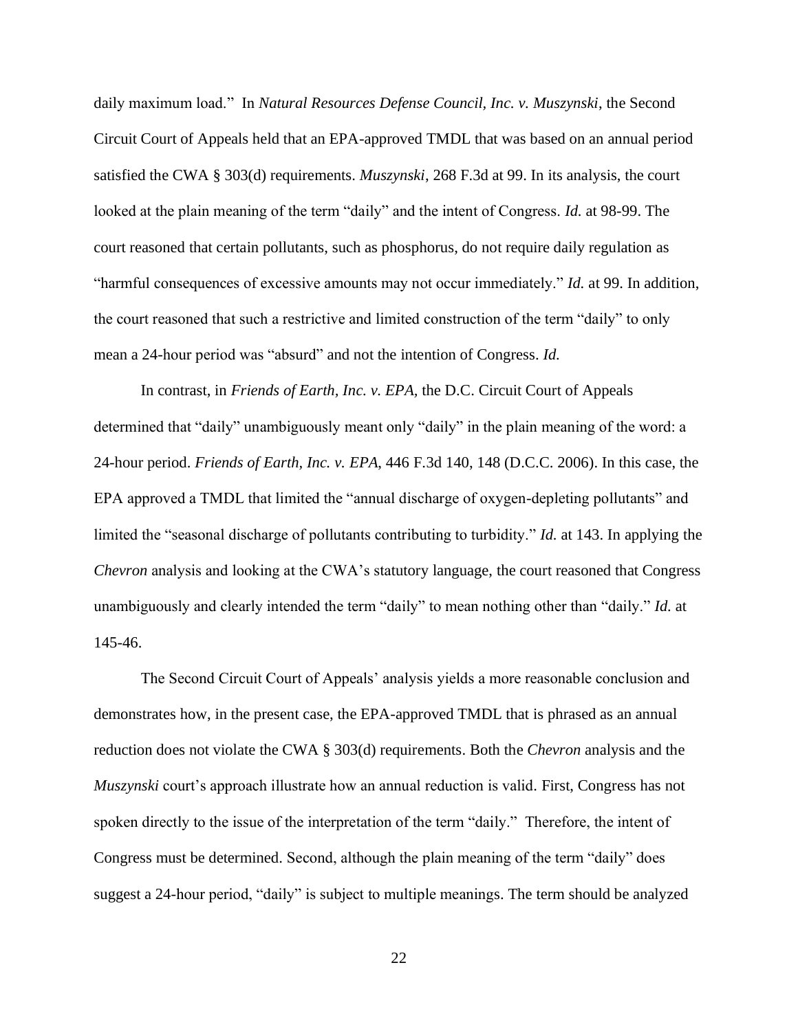daily maximum load." In *Natural Resources Defense Council, Inc. v. Muszynski*, the Second Circuit Court of Appeals held that an EPA-approved TMDL that was based on an annual period satisfied the CWA § 303(d) requirements. *Muszynski*, 268 F.3d at 99. In its analysis, the court looked at the plain meaning of the term "daily" and the intent of Congress. *Id.* at 98-99. The court reasoned that certain pollutants, such as phosphorus, do not require daily regulation as "harmful consequences of excessive amounts may not occur immediately." *Id.* at 99. In addition, the court reasoned that such a restrictive and limited construction of the term "daily" to only mean a 24-hour period was "absurd" and not the intention of Congress. *Id.*

In contrast, in *Friends of Earth, Inc. v. EPA,* the D.C. Circuit Court of Appeals determined that "daily" unambiguously meant only "daily" in the plain meaning of the word: a 24-hour period. *Friends of Earth, Inc. v. EPA*, 446 F.3d 140, 148 (D.C.C. 2006). In this case, the EPA approved a TMDL that limited the "annual discharge of oxygen-depleting pollutants" and limited the "seasonal discharge of pollutants contributing to turbidity." *Id.* at 143. In applying the *Chevron* analysis and looking at the CWA's statutory language, the court reasoned that Congress unambiguously and clearly intended the term "daily" to mean nothing other than "daily." *Id.* at 145-46.

The Second Circuit Court of Appeals' analysis yields a more reasonable conclusion and demonstrates how, in the present case, the EPA-approved TMDL that is phrased as an annual reduction does not violate the CWA § 303(d) requirements. Both the *Chevron* analysis and the *Muszynski* court's approach illustrate how an annual reduction is valid. First, Congress has not spoken directly to the issue of the interpretation of the term "daily." Therefore, the intent of Congress must be determined. Second, although the plain meaning of the term "daily" does suggest a 24-hour period, "daily" is subject to multiple meanings. The term should be analyzed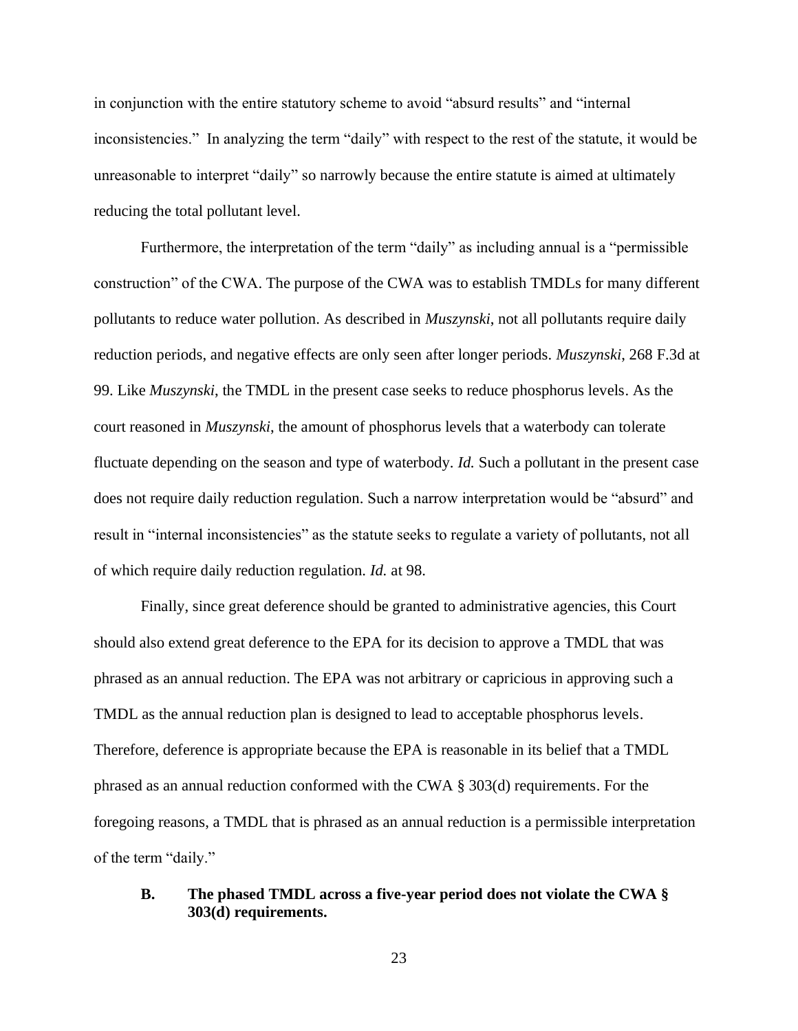in conjunction with the entire statutory scheme to avoid "absurd results" and "internal inconsistencies." In analyzing the term "daily" with respect to the rest of the statute, it would be unreasonable to interpret "daily" so narrowly because the entire statute is aimed at ultimately reducing the total pollutant level.

Furthermore, the interpretation of the term "daily" as including annual is a "permissible construction" of the CWA. The purpose of the CWA was to establish TMDLs for many different pollutants to reduce water pollution. As described in *Muszynski*, not all pollutants require daily reduction periods, and negative effects are only seen after longer periods. *Muszynski*, 268 F.3d at 99. Like *Muszynski*, the TMDL in the present case seeks to reduce phosphorus levels. As the court reasoned in *Muszynski*, the amount of phosphorus levels that a waterbody can tolerate fluctuate depending on the season and type of waterbody. *Id.* Such a pollutant in the present case does not require daily reduction regulation. Such a narrow interpretation would be "absurd" and result in "internal inconsistencies" as the statute seeks to regulate a variety of pollutants, not all of which require daily reduction regulation. *Id.* at 98.

Finally, since great deference should be granted to administrative agencies, this Court should also extend great deference to the EPA for its decision to approve a TMDL that was phrased as an annual reduction. The EPA was not arbitrary or capricious in approving such a TMDL as the annual reduction plan is designed to lead to acceptable phosphorus levels. Therefore, deference is appropriate because the EPA is reasonable in its belief that a TMDL phrased as an annual reduction conformed with the CWA § 303(d) requirements. For the foregoing reasons, a TMDL that is phrased as an annual reduction is a permissible interpretation of the term "daily."

## **B. The phased TMDL across a five-year period does not violate the CWA § 303(d) requirements.**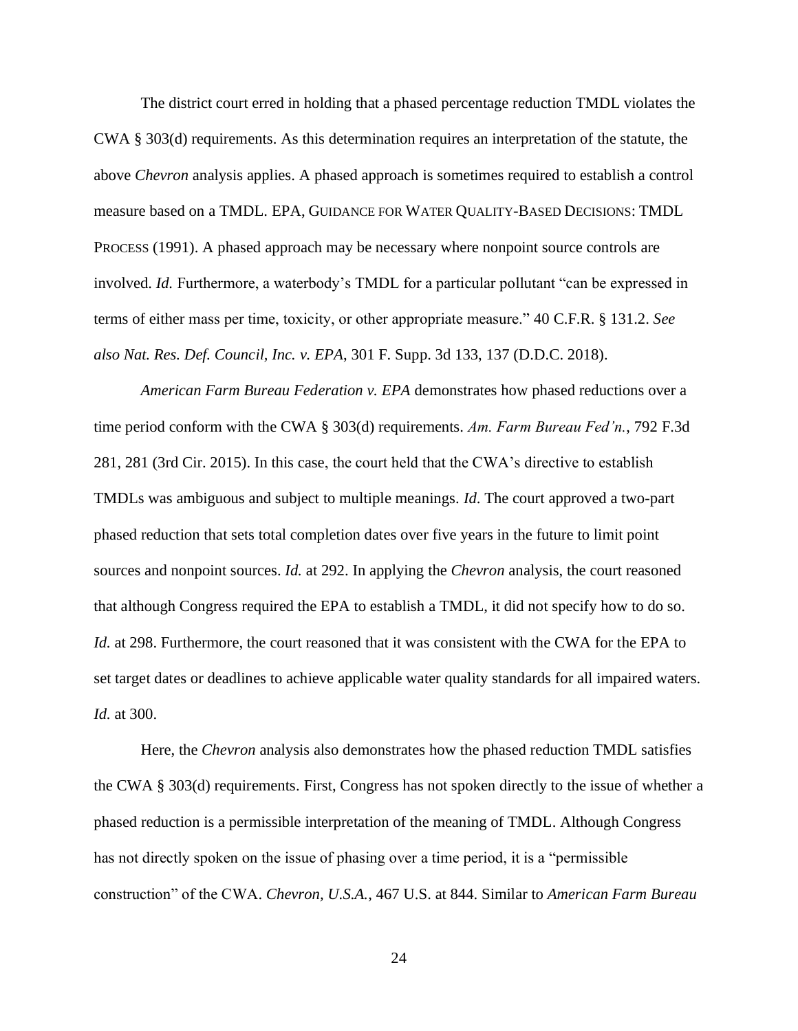The district court erred in holding that a phased percentage reduction TMDL violates the CWA § 303(d) requirements. As this determination requires an interpretation of the statute, the above *Chevron* analysis applies. A phased approach is sometimes required to establish a control measure based on a TMDL. EPA, GUIDANCE FOR WATER QUALITY-BASED DECISIONS: TMDL PROCESS (1991). A phased approach may be necessary where nonpoint source controls are involved. *Id.* Furthermore, a waterbody's TMDL for a particular pollutant "can be expressed in terms of either mass per time, toxicity, or other appropriate measure." 40 C.F.R. § 131.2. *See also Nat. Res. Def. Council, Inc. v. EPA*, 301 F. Supp. 3d 133, 137 (D.D.C. 2018).

*American Farm Bureau Federation v. EPA* demonstrates how phased reductions over a time period conform with the CWA § 303(d) requirements. *Am. Farm Bureau Fed'n.*, 792 F.3d 281, 281 (3rd Cir. 2015). In this case, the court held that the CWA's directive to establish TMDLs was ambiguous and subject to multiple meanings. *Id*. The court approved a two-part phased reduction that sets total completion dates over five years in the future to limit point sources and nonpoint sources. *Id.* at 292. In applying the *Chevron* analysis, the court reasoned that although Congress required the EPA to establish a TMDL, it did not specify how to do so. *Id.* at 298. Furthermore, the court reasoned that it was consistent with the CWA for the EPA to set target dates or deadlines to achieve applicable water quality standards for all impaired waters. *Id.* at 300.

Here, the *Chevron* analysis also demonstrates how the phased reduction TMDL satisfies the CWA § 303(d) requirements. First, Congress has not spoken directly to the issue of whether a phased reduction is a permissible interpretation of the meaning of TMDL. Although Congress has not directly spoken on the issue of phasing over a time period, it is a "permissible construction" of the CWA. *Chevron, U.S.A.*, 467 U.S. at 844. Similar to *American Farm Bureau*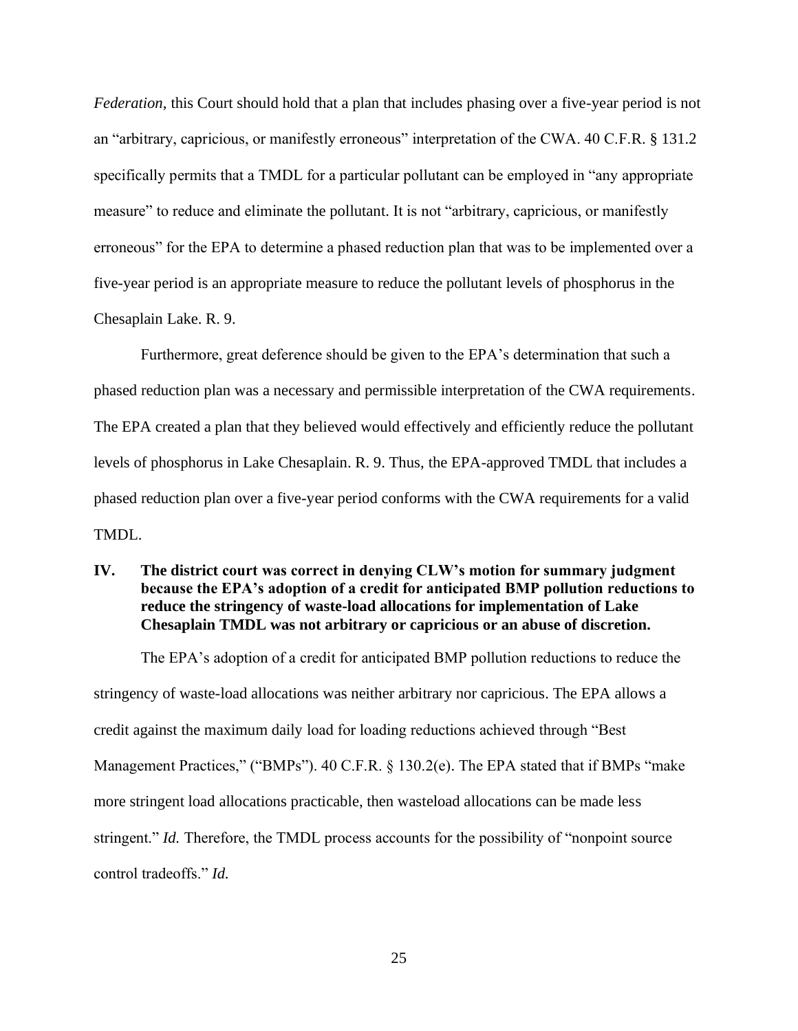*Federation*, this Court should hold that a plan that includes phasing over a five-year period is not an "arbitrary, capricious, or manifestly erroneous" interpretation of the CWA. 40 C.F.R. § 131.2 specifically permits that a TMDL for a particular pollutant can be employed in "any appropriate measure" to reduce and eliminate the pollutant. It is not "arbitrary, capricious, or manifestly erroneous" for the EPA to determine a phased reduction plan that was to be implemented over a five-year period is an appropriate measure to reduce the pollutant levels of phosphorus in the Chesaplain Lake. R. 9.

Furthermore, great deference should be given to the EPA's determination that such a phased reduction plan was a necessary and permissible interpretation of the CWA requirements. The EPA created a plan that they believed would effectively and efficiently reduce the pollutant levels of phosphorus in Lake Chesaplain. R. 9. Thus, the EPA-approved TMDL that includes a phased reduction plan over a five-year period conforms with the CWA requirements for a valid TMDL.

# **IV. The district court was correct in denying CLW's motion for summary judgment because the EPA's adoption of a credit for anticipated BMP pollution reductions to reduce the stringency of waste-load allocations for implementation of Lake Chesaplain TMDL was not arbitrary or capricious or an abuse of discretion.**

The EPA's adoption of a credit for anticipated BMP pollution reductions to reduce the stringency of waste-load allocations was neither arbitrary nor capricious. The EPA allows a credit against the maximum daily load for loading reductions achieved through "Best Management Practices," ("BMPs"). 40 C.F.R. § 130.2(e). The EPA stated that if BMPs "make more stringent load allocations practicable, then wasteload allocations can be made less stringent." *Id.* Therefore, the TMDL process accounts for the possibility of "nonpoint source" control tradeoffs." *Id.*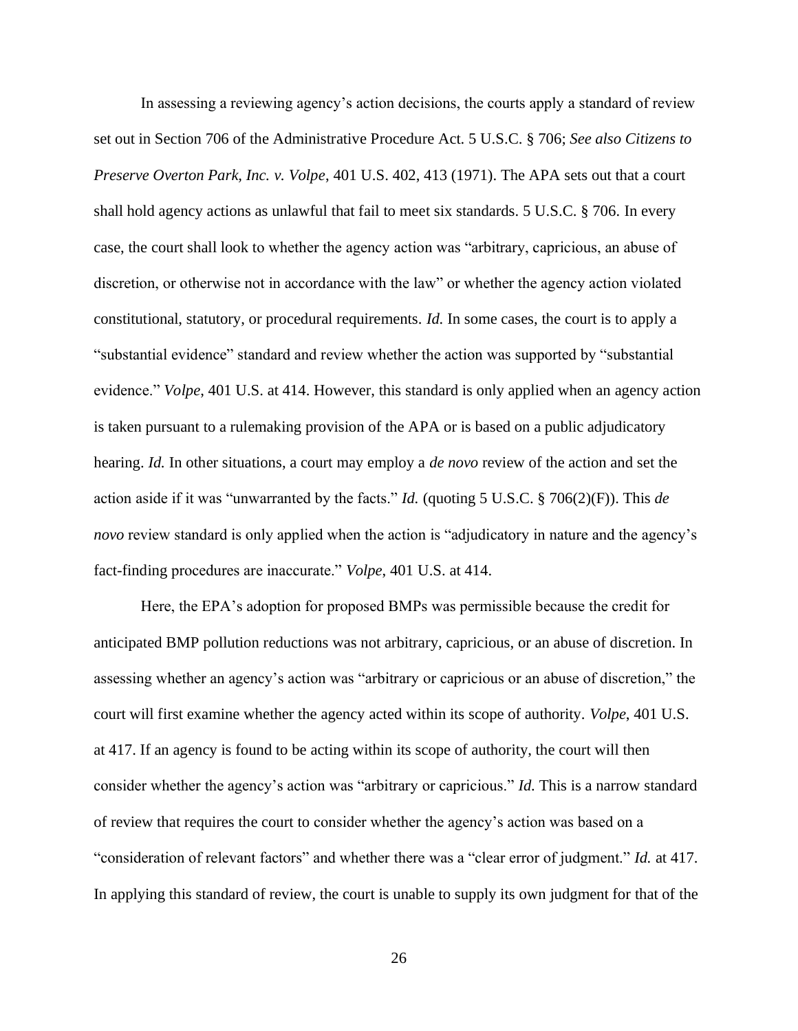In assessing a reviewing agency's action decisions, the courts apply a standard of review set out in Section 706 of the Administrative Procedure Act. 5 U.S.C. § 706; *See also Citizens to Preserve Overton Park, Inc. v. Volpe*, 401 U.S. 402, 413 (1971). The APA sets out that a court shall hold agency actions as unlawful that fail to meet six standards. 5 U.S.C. § 706*.* In every case, the court shall look to whether the agency action was "arbitrary, capricious, an abuse of discretion, or otherwise not in accordance with the law" or whether the agency action violated constitutional, statutory, or procedural requirements. *Id.* In some cases, the court is to apply a "substantial evidence" standard and review whether the action was supported by "substantial evidence." *Volpe*, 401 U.S. at 414. However, this standard is only applied when an agency action is taken pursuant to a rulemaking provision of the APA or is based on a public adjudicatory hearing. *Id.* In other situations, a court may employ a *de novo* review of the action and set the action aside if it was "unwarranted by the facts." *Id.* (quoting 5 U.S.C. § 706(2)(F)). This *de novo* review standard is only applied when the action is "adjudicatory in nature and the agency's fact-finding procedures are inaccurate." *Volpe*, 401 U.S. at 414.

Here, the EPA's adoption for proposed BMPs was permissible because the credit for anticipated BMP pollution reductions was not arbitrary, capricious, or an abuse of discretion. In assessing whether an agency's action was "arbitrary or capricious or an abuse of discretion," the court will first examine whether the agency acted within its scope of authority. *Volpe*, 401 U.S. at 417. If an agency is found to be acting within its scope of authority, the court will then consider whether the agency's action was "arbitrary or capricious." *Id.* This is a narrow standard of review that requires the court to consider whether the agency's action was based on a "consideration of relevant factors" and whether there was a "clear error of judgment." *Id.* at 417. In applying this standard of review, the court is unable to supply its own judgment for that of the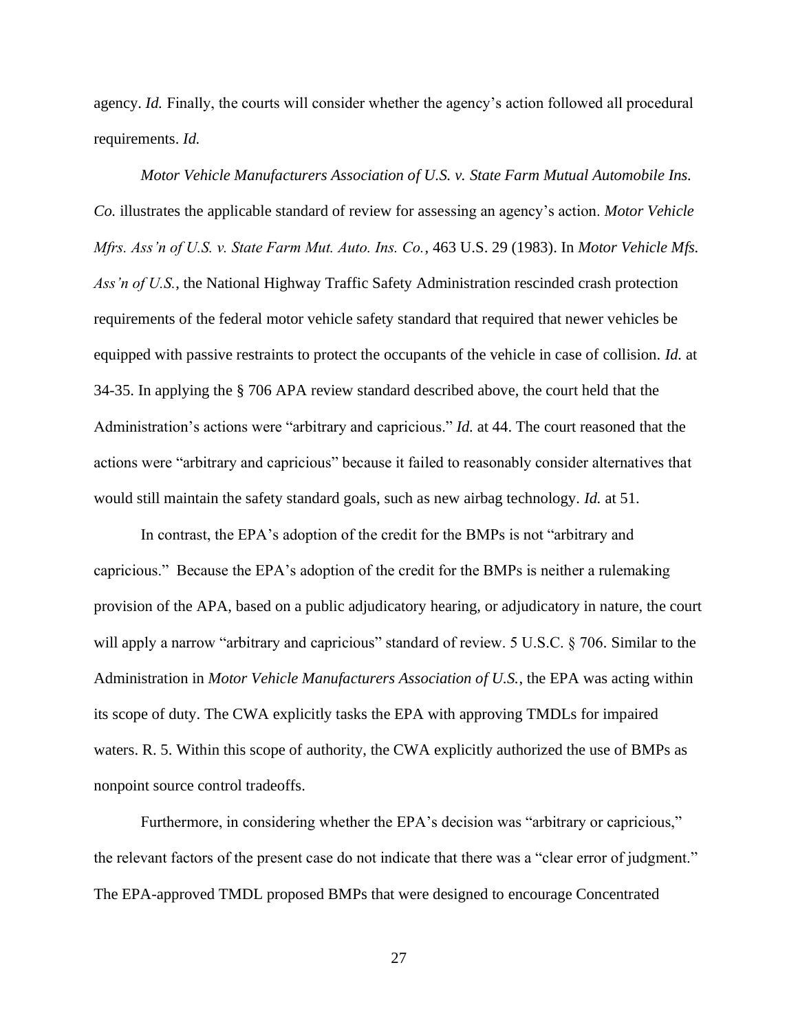agency. *Id.* Finally, the courts will consider whether the agency's action followed all procedural requirements. *Id.* 

*Motor Vehicle Manufacturers Association of U.S. v. State Farm Mutual Automobile Ins. Co.* illustrates the applicable standard of review for assessing an agency's action. *Motor Vehicle Mfrs. Ass'n of U.S. v. State Farm Mut. Auto. Ins. Co.*, 463 U.S. 29 (1983). In *Motor Vehicle Mfs. Ass'n of U.S.*, the National Highway Traffic Safety Administration rescinded crash protection requirements of the federal motor vehicle safety standard that required that newer vehicles be equipped with passive restraints to protect the occupants of the vehicle in case of collision. *Id.* at 34-35. In applying the § 706 APA review standard described above, the court held that the Administration's actions were "arbitrary and capricious." *Id.* at 44. The court reasoned that the actions were "arbitrary and capricious" because it failed to reasonably consider alternatives that would still maintain the safety standard goals, such as new airbag technology. *Id.* at 51.

In contrast, the EPA's adoption of the credit for the BMPs is not "arbitrary and capricious." Because the EPA's adoption of the credit for the BMPs is neither a rulemaking provision of the APA, based on a public adjudicatory hearing, or adjudicatory in nature, the court will apply a narrow "arbitrary and capricious" standard of review. 5 U.S.C. § 706*.* Similar to the Administration in *Motor Vehicle Manufacturers Association of U.S.*, the EPA was acting within its scope of duty. The CWA explicitly tasks the EPA with approving TMDLs for impaired waters. R. 5. Within this scope of authority, the CWA explicitly authorized the use of BMPs as nonpoint source control tradeoffs.

Furthermore, in considering whether the EPA's decision was "arbitrary or capricious," the relevant factors of the present case do not indicate that there was a "clear error of judgment." The EPA-approved TMDL proposed BMPs that were designed to encourage Concentrated